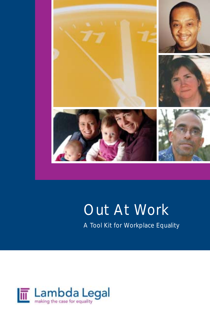

# Out At Work

A Tool Kit for Workplace Equality

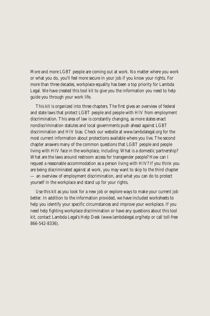More and more LGBT people are coming out at work. No matter where you work or what you do, you'll feel more secure in your job if you know your rights. For more than three decades, workplace equality has been a top priority for Lambda Legal. We have created this tool kit to give you the information you need to help guide you through your work life.

This kit is organized into three chapters. The first gives an overview of federal and state laws that protect LGBT people and people with HIV from employment discrimination. This area of law is constantly changing, as more states enact nondiscrimination statutes and local governments push ahead against LGBT discrimination and HIV bias. Check our website at www.lambdalegal.org for the most current information about protections available where you live. The second chapter answers many of the common questions that LGBT people and people living with HIV face in the workplace, including: What is a domestic partnership? What are the laws around restroom access for transgender people? How can I request a reasonable accommodation as a person living with HIV? If you think you are being discriminated against at work, you may want to skip to the third chapter — an overview of employment discrimination, and what you can do to protect yourself in the workplace and stand up for your rights.

Use this kit as you look for a new job or explore ways to make your current job better. In addition to the information provided, we have included worksheets to help you identify your specific circumstances and improve your workplace. If you need help fighting workplace discrimination or have any questions about this tool kit, contact Lambda Legal's Help Desk (www.lambdalegal.org/help or call toll-free 866-542-8336).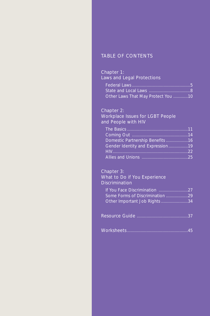# TABLE OF CONTENTS

# *Chapter 1: Laws and Legal Protections*

| Other Laws That May Protect You 10 |
|------------------------------------|

# *Chapter 2:*

*Workplace Issues for LGBT People and People with HIV*

| Domestic Partnership Benefits 16 |  |
|----------------------------------|--|
| Gender Identity and Expression19 |  |
|                                  |  |
|                                  |  |

# *Chapter 3:*

# *What to Do if You Experience Discrimination*

| Other Important Job Rights 34 |
|-------------------------------|

|--|--|--|--|--|--|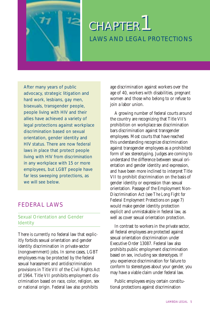

After many years of public advocacy, strategic litigation and hard work, lesbians, gay men, bisexuals, transgender people, people living with HIV and their allies have achieved a variety of legal protections against workplace discrimination based on sexual orientation, gender identity and HIV status. There are now federal laws in place that protect people living with HIV from discrimination in any workplace with 15 or more employees, but LGBT people have far less sweeping protections, as we will see below.

# FEDERAL LAWS

# Sexual Orientation and Gender Identity

There is currently no federal law that explicitly forbids sexual orientation and gender identity discrimination in private-sector (nongovernment) jobs. In some cases, LGBT employees may be protected by the federal sexual harassment and antidiscrimination provisions in Title VII of the Civil Rights Act of 1964. Title VII prohibits employment discrimination based on race, color, religion, sex or national origin. Federal law also prohibits

age discrimination against workers over the age of 40, workers with disabilities, pregnant women and those who belong to or refuse to join a labor union.

A growing number of federal courts around the country are recognizing that Title VII's prohibition on workplace sex discrimination bars discrimination against transgender employees. Most courts that have reached this understanding recognize discrimination against transgender employees as a prohibited form of sex stereotyping. Judges are coming to understand the difference between sexual orientation and gender identity and expression, and have been more inclined to interpret Title VII to prohibit discrimination on the basis of gender identity or expression than sexual orientation. Passage of the Employment Non-Discrimination Act (see *The Long Fight for Federal Employment Protections* on page 7) would make gender identity protection explicit and unmistakable in federal law, as well as cover sexual orientation protection.

In contrast to workers in the private sector, all federal employees are protected against sexual orientation discrimination under Executive Order 13087. Federal law also prohibits public employment discrimination based on sex, including sex stereotypes. If you experience discrimination for failure to conform to stereotypes about your gender, you may have a viable claim under federal law.

Public employees enjoy certain constitutional protections against discrimination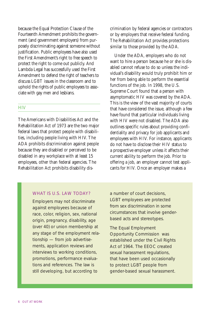because the Equal Protection Clause of the Fourteenth Amendment prohibits the government (and government employers) from purposely discriminating against someone without justification. Public employees have also used the First Amendment's right to free speech to protect the right to come out publicly. And Lambda Legal has successfully used the First Amendment to defend the right of teachers to discuss LGBT issues in the classroom and to uphold the rights of public employees to associate with gay men and lesbians.

### **HIV**

The Americans with Disabilities Act and the Rehabilitation Act of 1973 are the two major federal laws that protect people with disabilities, including people living with HIV. The ADA prohibits discrimination against people because they are disabled or perceived to be disabled in any workplace with at least 15 employees, other than federal agencies. The Rehabilitation Act prohibits disability discrimination by federal agencies or contractors or by employers that receive federal funding. The Rehabilitation Act provides protections similar to those provided by the ADA.

Under the ADA, employers who do not want to hire a person because he or she is disabled cannot refuse to do so unless the individual's disability would truly prohibit him or her from being able to perform the essential functions of the job. In 1998, the U.S. Supreme Court found that a person with asymptomatic HIV was covered by the ADA. This is the view of the vast majority of courts that have considered the issue, although a few have found that particular individuals living with HIV were not disabled. The ADA also outlines specific rules about providing confidentiality and privacy for job applicants and employees with HIV. For instance, applicants do not have to disclose their HIV status to a prospective employer unless it affects their current ability to perform the job. Prior to offering a job, an employer cannot test applicants for HIV. Once an employer makes a

# WHAT IS U.S. LAW TODAY?

Employers may not discriminate against employees because of race, color, religion, sex, national origin, pregnancy, disability, age (over 40) or union membership at any stage of the employment relationship — from job advertisements, application reviews and interviews to working conditions, promotions, performance evaluations and references. The law is still developing, but according to

a number of court decisions, LGBT employees are protected from sex discrimination in some circumstances that involve genderbased acts and stereotypes.

The Equal Employment Opportunity Commission was established under the Civil Rights Act of 1964. The EEOC created sexual harassment regulations, that have been used occasionally to protect LGBT people from gender-based sexual harassment.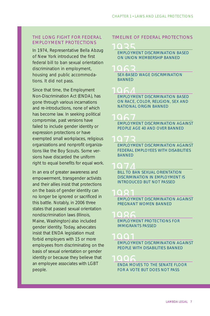# THE LONG FIGHT FOR FEDERAL EMPLOYMENT PROTECTIONS

In 1974, Representative Bella Abzug of New York introduced the first federal bill to ban sexual orientation discrimination in employment, housing and public accommodations. It did not pass.

Since that time, the Employment Non-Discrimination Act (ENDA), has gone through various incarnations and re-introductions, none of which has become law. In seeking political compromise, past versions have failed to include gender identity or expression protections or have exempted small workplaces, religious organizations and nonprofit organizations like the Boy Scouts. Some versions have discarded the uniform right to equal benefits for equal work.

In an era of greater awareness and empowerment, transgender activists and their allies insist that protections on the basis of gender identity can no longer be ignored or sacrificed in this battle. Notably, in 2006 three states that passed sexual orientation nondiscrimination laws (Illinois, Maine, Washington) also included gender identity. Today, advocates insist that ENDA legislation must forbid employers with 15 or more employees from discriminating on the basis of sexual orientation or gender identity or because they believe that an employee associates with LGBT people.

### TIMELINE OF FEDERAL PROTECTIONS

**1025**<br>EMPLOYMENT DISCRIMINATION BASED ON UNION MEMBERSHIP BANNED

**SEX-BASED WAGE DISCRIMINATION** BANNED

**1964 AMPLOYMENT DISCRIMINATION BASED** ON RACE, COLOR, RELIGION, SEX AND NATIONAL ORIGIN BANNED

**1967 EMPLOYMENT DISCRIMINATION AGAINST** PEOPLE AGE 40 AND OVER BANNED

**1974 PMPLOYMENT DISCRIMINATION AGAINST** FEDERAL EMPLOYEES WITH DISABILITIES **BANNED** 

**1974 ADISCO BILL TO BAN SEXUAL ORIENTATION** DISCRIMINATION IN EMPLOYMENT IS INTRODUCED BUT NOT PASSED

**1982 EMPLOYMENT DISCRIMINATION AGAINST** PREGNANT WOMEN BANNED

**1986**<br>EMPLOYMENT PROTECTIONS FOR IMMIGRANTS PASSED

0001<br>EMPLOYMENT DISCRIMINATION AGAINST PEOPLE WITH DISABILITIES BANNED

**006 ANDERS TO THE SENATE FLOOR** FOR A VOTE BUT DOES NOT PASS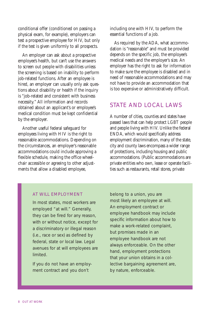conditional offer (conditioned on passing a physical exam, for example), employers can test a prospective employee for HIV, but only if the test is given uniformly to all prospects.

An employer can ask about a prospective employee's health, but can't use the answers to screen out people with disabilities unless the screening is based on inability to perform job-related functions. After an employee is hired, an employer can usually only ask questions about disability or health if the inquiry is "job-related and consistent with business necessity." All information and records obtained about an applicant's or employee's medical condition must be kept confidential by the employer.

Another useful federal safeguard for employees living with HIV is the right to reasonable accommodations. Depending on the circumstances, an employer's reasonable accommodations could include approving a flexible schedule, making the office wheelchair accessible or agreeing to other adjustments that allow a disabled employee,

including one with HIV, to perform the essential functions of a job.

As required by the ADA, what accommodation is "reasonable" and must be provided depends on the specific job, the employee's medical needs and the employer's size. An employer has the right to ask for information to make sure the employee is disabled and in need of reasonable accommodations and may not have to provide an accommodation that is too expensive or administratively difficult.

# STATE AND LOCAL LAWS

A number of cities, counties and states have passed laws that can help protect LGBT people and people living with HIV. Unlike the federal ENDA, which would specifically address employment discrimination, many of the state, city and county laws encompass a wider range of protections, including housing and public accommodations. (Public accommodations are private entities who own, lease or operate facilities such as restaurants, retail stores, private

#### AT WILL EMPLOYMENT

In most states, most workers are employed "at will." Generally, they can be fired for any reason, with or without notice, except for a discriminatory or illegal reason (i.e., race or sex) as defined by federal, state or local law. Legal avenues for at will employees are limited.

If you do not have an employment contract and you don't

belong to a union, you are most likely an employee at will. An employment contract or employee handbook may include specific information about how to make a work-related complaint, but promises made in an employee handbook are not always enforceable. On the other hand, employment protections that your union obtains in a collective bargaining agreement are, by nature, enforceable.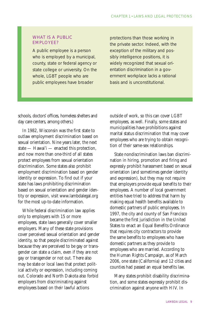# WHAT IS A PUBLIC EMPLOYEE?

A public employee is a person who is employed by a municipal, county, state or federal agency or state college or university. On the whole, LGBT people who are public employees have broader

protections than those working in the private sector. Indeed, with the exception of the military and possibly intelligence positions, it is widely recognized that sexual orientation discrimination in a government workplace lacks a rational basis and is unconstitutional.

schools, doctors' offices, homeless shelters and day care centers, among others.)

In 1982, Wisconsin was the first state to outlaw employment discrimination based on sexual orientation. Nine years later, the next state — Hawai'i — enacted this protection, and now more than one-third of all states protect employees from sexual orientation discrimination. Some states also prohibit employment discrimination based on gender identity or expression. To find out if your state has laws prohibiting discrimination based on sexual orientation and gender identity or expression, visit www.lambdalegal.org for the most up-to-date information.

While federal discrimination law applies only to employers with 15 or more employees, state laws generally cover smaller employers. Many of these state provisions cover perceived sexual orientation and gender identity, so that people discriminated against because they are perceived to be gay or transgender can state a claim, even if they are not gay or transgender or not out. There also may be state or local laws that protect political activity or expression, including coming out. Colorado and North Dakota also forbid employers from discriminating against employees based on their lawful actions

outside of work, so this can cover LGBT employees, as well. Finally, some states and municipalities have prohibitions against marital status discrimination that may cover employees who are trying to obtain recognition of their same-sex relationships.

State nondiscrimination laws ban discrimination in hiring, promotion and firing and expressly prohibit harassment based on sexual orientation (and sometimes gender identity and expression), but they may not require that employers provide equal benefits to their employees. A number of local government entities have tried to address that harm by making equal health benefits available to domestic partners of public employees. In 1997, the city and county of San Francisco became the first jurisdiction in the United States to enact an Equal Benefits Ordinance that requires city contractors to provide the same benefits to employees who have domestic partners as they provide to employees who are married. According to the Human Rights Campaign, as of March 2006, one state (California) and 12 cities and counties had passed an equal benefits law.

Many states prohibit disability discrimination, and some states expressly prohibit discrimination against anyone with HIV. In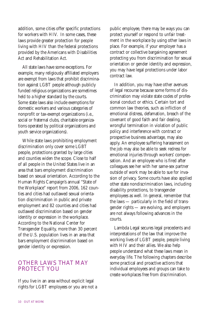addition, some cities offer specific protections for workers with HIV. In some cases, these laws provide greater protection for people living with HIV than the federal protections provided by the Americans with Disabilities Act and Rehabilitation Act.

All state laws have some exceptions. For example, many religiously affiliated employers are exempt from laws that prohibit discrimination against LGBT people although publicly funded religious organizations are sometimes held to a higher standard by the courts. Some state laws also include exemptions for domestic workers and various categories of nonprofit or tax-exempt organizations (i.e., social or fraternal clubs, charitable organizations operated by political organizations and youth service organizations).

While state laws prohibiting employment discrimination only cover some LGBT people, protections granted by large cities and counties widen the scope. Close to half of all people in the United States live in an area that bars employment discrimination based on sexual orientation. According to the Human Rights Campaign's annual "State of the Workplace" report from 2006, 162 counties and cities had outlawed sexual orientation discrimination in public and private employment and 82 counties and cities had outlawed discrimination based on gender identity or expression in the workplace. According to the National Center for Transgender Equality, more than 30 percent of the U.S. population lives in an area that bars employment discrimination based on gender identity or expression.

# OTHER LAWS THAT MAY PROTECT YOU

If you live in an area without explicit legal rights for LGBT employees or you are not a public employee, there may be ways you can protect yourself or respond to unfair treatment in the workplace by using other laws in place. For example, if your employer has a contract or collective bargaining agreement protecting you from discrimination for sexual orientation or gender identity and expression, you may have legal protections under labor contract law.

In addition, you may have other avenues of legal recourse because some forms of discrimination may violate state codes of professional conduct or ethics. Certain tort and common law theories, such as infliction of emotional distress, defamation, breach of the covenant of good faith and fair dealing, wrongful termination in violation of public policy and interference with contract or prospective business advantage, may also apply. An employee suffering harassment on the job may also be able to seek redress for emotional injuries through workers' compensation. And an employee who is fired after colleagues see her with her same-sex partner outside of work may be able to sue for invasion of privacy. Some courts have also applied other state nondiscrimination laws, including disability protections, to transgender employees as well. In general, remember that the laws — particularly in the field of transgender rights — are evolving, and employers are not always following advances in the courts.

Lambda Legal secures legal precedents and interpretations of the law that improve the working lives of LGBT people, people living with HIV and their allies. We also help people understand what these laws mean in everyday life. The following chapters describe some practical and proactive actions that individual employees and groups can take to create workplaces free from discrimination.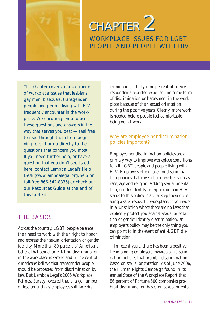

# WORKPLACE ISSUES FOR LGBT PEOPLE AND PEOPLE WITH HIV **CHAPTER 2**

This chapter covers a broad range of workplace issues that lesbians, gay men, bisexuals, transgender people and people living with HIV frequently encounter in the workplace. We encourage you to use these questions and answers in the way that serves you best — feel free to read through them from beginning to end or go directly to the questions that concern you most. If you need further help, or have a question that you don't see listed here, contact Lambda Legal's Help Desk (www.lambdalegal.org/help or toll-free 866-542-8336) or check out our Resources Guide at the end of this tool kit.

# THE BASICS

Across the country, LGBT people balance their need to work with their right to honor and express their sexual orientation or gender identity. More than 80 percent of Americans believe that sexual orientation discrimination in the workplace is wrong and 61 percent of Americans believe that transgender people should be protected from discrimination by law. But Lambda Legal's 2005 Workplace Fairness Survey revealed that a large number of lesbian and gay employees still face discrimination. Thirty-nine percent of survey respondents reported experiencing some form of discrimination or harassment in the workplace because of their sexual orientation during the past five years. Clearly, more work is needed before people feel comfortable being out at work.

# Why are employee nondiscrimination policies important?

Employee nondiscrimination policies are a primary way to improve workplace conditions for all LGBT people and people living with HIV. Employers often have nondiscrimination policies that cover characteristics such as race, age and religion. Adding sexual orientation, gender identity or expression and HIV status to this policy is a vital step toward creating a safe, respectful workplace. If you work in a jurisdiction where there are no laws that explicitly protect you against sexual orientation or gender identity discrimination, an employer's policy may be the only thing you can point to in the event of anti-LGBT discrimination.

In recent years, there has been a positive trend among employers towards antidiscrimination policies that prohibit discrimination based on sexual orientation. As of June 2006, the Human Rights Campaign found in its annual State of the Workplace Report that 86 percent of Fortune 500 companies prohibit discrimination based on sexual orienta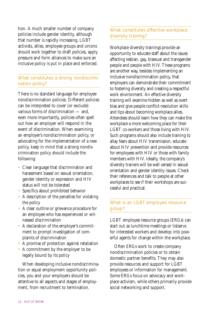tion. A much smaller number of company policies include gender identity, although that number is rapidly increasing. LGBT activists, allies, employee groups and unions should work together to draft policies, apply pressure and form alliances to make sure an inclusive policy is put in place and enforced.

# What constitutes a strong nondiscrimination policy?

There is no standard language for employee nondiscrimination policies. Different policies can be interpreted to cover (or exclude) various forms of discrimination — and, even more importantly, policies often spell out how an employer will respond in the event of discrimination. When examining an employer's nondiscrimination policy, or advocating for the implementation of a new policy, keep in mind that a strong nondiscrimination policy should include the following:

- Clear language that discrimination and harassment based on sexual orientation, gender identity or expression and HIV status will not be tolerated
- Specifics about prohibited behavior
- A description of the penalties for violating the policy
- A clear outline or grievance procedure for an employee who has experienced or witnessed discrimination
- A declaration of the employer's commitment to prompt investigation of complaints of discrimination
- A promise of protection against retaliation
- A commitment by the employer to be legally bound by its policy

When developing inclusive nondiscrimination or equal employment opportunity policies, you and your employers should be attentive to all aspects and stages of employment, from recruitment to termination.

# What constitutes effective workplace diversity training?

Workplace diversity trainings provide an opportunity to educate staff about the issues affecting lesbian, gay, bisexual and transgender people and people with HIV. These programs are another way, besides implementing an inclusive nondiscrimination policy, that employers can demonstrate their commitment to fostering diversity and creating a respectful work environment. An effective diversity training will examine hidden as well as overt bias and give people conflict-resolution skills and tips about becoming workplace allies. Attendees should learn how they can make the workplace a more welcoming place for their LGBT co-workers and those living with HIV. Such programs should also include training to allay fears about HIV transmission, educate about HIV prevention and provide resources for employees with HIV or those with family members with HIV. Ideally, the company's diversity trainers will be well versed in sexual orientation and gender identity issues. Check their references and talk to people at other workplaces to see if their workshops are successful and practical.

# What is an LGBT employee resource group?

LGBT employee resource groups (ERGs) can start out as lunchtime meetings or listservs for interested workers and develop into powerful agents for change within the workplace.

Often ERGs work to create company nondiscrimination policies or to obtain domestic partner benefits. They may also provide resources and support for LGBT employees or information for management. Some ERGs focus on advocacy and workplace activism, while others primarily provide social networking and support.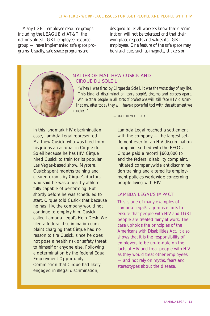Many LGBT employee resource groups including the LEAGUE at AT&T, the nation's oldest LGBT employee resource group — have implemented safe space programs. Usually, safe space programs are

designed to let all workers know that discrimination will not be tolerated and that their workplace respects and values its LGBT employees. One feature of the safe space may be visual cues such as magnets, stickers or

# *MATTER OF MATTHEW CUSICK AND CIRQUE DU SOLEIL*

*"When I was fired by Cirque du Soleil, it was the worst day of my life. This kind of discrimination tears people's dreams and careers apart. While other people in all sorts of professions will still face HIV discrimination, after today they will have a powerful tool with the settlement we reached."*

In this landmark HIV discrimination case, Lambda Legal represented Matthew Cusick, who was fired from his job as an acrobat in Cirque du Soleil because he has HIV. Cirque hired Cusick to train for its popular Las Vegas-based show, *Mystere*. Cusick spent months training and cleared exams by Cirque's doctors, who said he was a healthy athlete, fully capable of performing. But shortly before he was scheduled to start, Cirque told Cusick that because he has HIV, the company would not continue to employ him. Cusick called Lambda Legal's Help Desk. We filed a federal discrimination complaint charging that Cirque had no reason to fire Cusick, since he does not pose a health risk or safety threat to himself or anyone else. Following a determination by the federal Equal Employment Opportunity Commission that Cirque had likely engaged in illegal discrimination,

*— MATTHEW CUSICK*

Lambda Legal reached a settlement with the company - the largest settlement ever for an HIV-discrimination complaint settled with the EEOC. Cirque paid a record \$600,000 to end the federal disability complaint, initiated companywide antidiscrimination training and altered its employment policies worldwide concerning people living with HIV.

#### LAMBDA LEGAL'S IMPACT

This is one of many examples of Lambda Legal's vigorous efforts to ensure that people with HIV and LGBT people are treated fairly at work. The case upholds the principles of the Americans with Disabilities Act. It also shows that it is the responsibility of employers to be up-to-date on the facts of HIV and treat people with HIV as they would treat other employees — and not rely on myths, fears and stereotypes about the disease.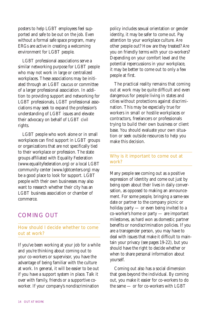posters to help LGBT employees feel supported and safe to be out on the job. Even without a formal safe space program, many ERGs are active in creating a welcoming environment for LGBT people.

LGBT professional associations serve a similar networking purpose for LGBT people who may not work in large or centralized workplaces. These associations may be initiated through an LGBT caucus or committee of a larger professional association. In addition to providing support and networking for LGBT professionals, LGBT professional associations may seek to expand the profession's understanding of LGBT issues and elevate their advocacy on behalf of LGBT civil rights.

LGBT people who work alone or in small workplaces can find support in LGBT groups or organizations that are not specifically tied to their workplace or profession. The state groups affiliated with Equality Federation (www.equalityfederation.org) or a local LGBT community center (www.lgbtcenters.org) may be a good place to look for support. LGBT people with their own businesses may also want to research whether their city has an LGBT business association or chamber of commerce.

# COMING OUT

# How should I decide whether to come out at work?

If you've been working at your job for a while and you're thinking about coming out to your co-workers or supervisor, you have the advantage of being familiar with the culture at work. In general, it will be easier to be out if you have a support system in place. Talk it over with family, friends or a supportive coworker. If your company's nondiscrimination

policy includes sexual orientation or gender identity, it may be safer to come out. Pay attention to your workplace culture. Are other people out? How are they treated? Are you on friendly terms with your co-workers? Depending on your comfort level and the potential repercussions in your workplace, it may be better to come out to only a few people at first.

The practical reality remains that coming out at work may be quite difficult and even dangerous for people living in states and cities without protections against discrimination. This may be especially true for workers in small or hostile workplaces or contractors, freelancers or professionals trying to build their own business or client base. You should evaluate your own situation or seek outside resources to help you make this decision.

# Why is it important to come out at work?

Many people see coming out as a positive expression of identity and come out just by being open about their lives in daily conversation, as opposed to making an announcement. For some people, bringing a same-sex date or partner to the company picnic or holiday party — or even being invited to a co-worker's home or party — are important milestones, as hard won as domestic partner benefits or nondiscrimination policies. If you are a transgender person, you may have to deal with issues that make it difficult to maintain your privacy (see pages 19-22), but you should have the right to decide whether or when to share personal information about yourself.

Coming out also has a social dimension that goes beyond the individual. By coming out, you make it easier for co-workers to do the same — or for co-workers with LGBT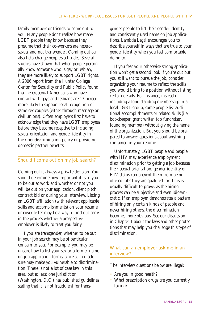family members or friends to come out to you. Many people don't realize how many LGBT people they know because they presume that their co-workers are heterosexual and not transgender. Coming out can also help change people's attitudes. Several studies have shown that when people personally know someone who is gay or lesbian, they are more likely to support LGBT rights. A 2006 report from the Hunter College Center for Sexuality and Public Policy found that heterosexual Americans who have contact with gays and lesbians are 13 percent more likely to support legal recognition of same-sex couples (either through marriage or civil unions). Often employers first have to acknowledge that they have LGBT employees before they become receptive to including sexual orientation and gender identity in their nondiscrimination policy or providing domestic partner benefits.

# Should I come out on my job search?

Coming out is always a private decision. You should determine how important it is to you to be out at work and whether or not you will be out on your application, client pitch, contract bid or during your interview. Listing an LGBT affiliation (with relevant applicable skills and accomplishments) on your resume or cover letter may be a way to find out early in the process whether a prospective employer is likely to treat you fairly.

If you are transgender, whether to be out in your job search may be of particular concern to you. For example, you may be unsure how to list your sex or a former name on job application forms, since such disclosure may make you vulnerable to discrimination. There is not a lot of case law in this area, but at least one jurisdiction (Washington, D.C.) has published guidelines stating that it is not fraudulent for transgender people to list their gender identity and consistently used name on job applications. Lambda Legal encourages you to describe yourself in ways that are true to your gender identity when you feel comfortable doing so.

If you fear your otherwise strong application won't get a second look if you're out but you still want to pursue the job, consider organizing your resume to reflect the skills you would bring to a position without listing certain details. For instance, instead of including a long-standing membership in a local LGBT group, some people list additional accomplishments or related skills (i.e., bookkeeper, grant writer, top fundraiser, founding member) without giving the name of the organization. But you should be prepared to answer questions about anything contained in your resume.

Unfortunately, LGBT people and people with HIV may experience employment discrimination prior to getting a job because their sexual orientation, gender identity or HIV status can prevent them from being offered jobs they are qualified for. This is usually difficult to prove, as the hiring process can be subjective and even idiosyncratic. If an employer demonstrates a pattern of hiring only certain kinds of people and never hiring others, the discrimination becomes more obvious. See our discussion in Chapter 1 about the laws and other protections that may help you challenge this type of discrimination.

# What can an employer ask me in an interview?

The interview questions below are illegal:

- Are you in good health?
- What prescription drugs are you currently taking?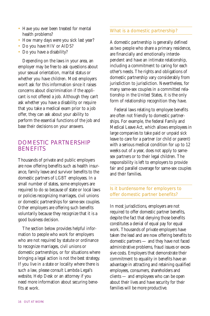- Have you ever been treated for mental health problems?
- How many days were you sick last year?
- Do you have HIV or AIDS?
- Do you have a disability?

Depending on the laws in your area, an employer may be free to ask questions about your sexual orientation, marital status or whether you have children. Most employers won't ask for this information since it raises concerns about discrimination if the applicant is not offered a job. Although they can't ask whether you have a disability or require that you take a medical exam prior to a job offer, they can ask about your ability to perform the essential functions of the job and base their decisions on your answers.

# DOMESTIC PARTNERSHIP BENEFITS

Thousands of private and public employers are now offering benefits such as health insurance, family leave and survivor benefits to the domestic partners of LGBT employees. In a small number of states, some employers are required to do so because of state or local laws or policies recognizing marriages, civil unions or domestic partnerships for same-sex couples. Other employers are offering such benefits voluntarily because they recognize that it is a good business decision.

The section below provides helpful information to people who work for employers who are not required by statute or ordinance to recognize marriages, civil unions or domestic partnerships, or for situations where bringing a legal action is not the best strategy. If you live in a state or locality where there is such a law, please consult Lambda Legal's website, Help Desk or an attorney if you need more information about securing benefits at work.

# What is a domestic partnership?

A domestic partnership is generally defined as two people who share a primary residence, are financially and emotionally interdependent and have an intimate relationship, including a commitment to caring for each other's needs. The rights and obligations of domestic partnership vary considerably from jurisdiction to jurisdiction. Nevertheless, for many same-sex couples in a committed relationship in the United States, it is the only form of relationship recognition they have.

Federal laws relating to employee benefits are often not friendly to domestic partnerships. For example, the federal Family and Medical Leave Act, which allows employees in large companies to take paid or unpaid sick leave to care for a partner (or child or parent) with a serious medical condition for up to 12 weeks out of a year, does not apply to samesex partners or to their legal children. The responsibility is left to employers to provide fair and parallel coverage for same-sex couples and their families.

# Is it burdensome for employers to offer domestic partner benefits?

In most jurisdictions, employers are not required to offer domestic partner benefits, despite the fact that denying those benefits constitutes a denial of equal pay for equal work. Thousands of private employers have taken the lead and are now offering benefits to domestic partners — and they have not faced administrative problems, fraud issues or excessive costs. Employers that demonstrate their commitment to equality in benefits have an advantage in attracting and retaining qualified employees, consumers, shareholders and clients — and employees who can be open about their lives and have security for their families will be more productive.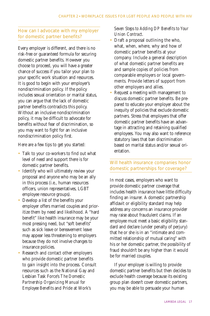# How can I advocate with my employer for domestic partner benefits?

Every employer is different, and there is no risk-free or guaranteed formula for securing domestic partner benefits. However you choose to proceed, you will have a greater chance of success if you tailor your plan to your specific work situation and resources. It is good to begin with your employer's nondiscrimination policy. If the policy includes sexual orientation or marital status, you can argue that the lack of domestic partner benefits contradicts this policy. Without an inclusive nondiscrimination policy, it may be difficult to advocate for benefits without fear of discrimination, so you may want to fight for an inclusive nondiscrimination policy first.

Here are a few tips to get you started:

- Talk to your co-workers to find out what level of need and support there is for domestic partner benefits.
- Identify who will ultimately review your proposal and anyone who may be an ally in this process (i.e., human resources officers, union representatives, LGBT employee resource groups).
- Develop a list of the benefits your employer offers married couples and prioritize them by need and likelihood. A "hard benefit" like health insurance may be your most pressing need, but "soft benefits" such as sick leave or bereavement leave may appear less threatening to employers because they do not involve changes to insurance policies.
- Research and contact other employers who provide domestic partner benefits to gain insight into the process. Consult resources such as the National Gay and Lesbian Task Force's *The Domestic Partnership Organizing Manual for Employee Benefits* and Pride at Work's

# *Seven Steps to Adding DP Benefits to Your Union Contract*.

- Draft a proposal outlining the who, what, when, where, why and how of domestic partner benefits at your company. Include a general description of what domestic partner benefits are and sample copies of policies from comparable employers or local governments. Provide letters of support from other employers and allies.
- Request a meeting with management to discuss domestic partner benefits. Be prepared to educate your employer about the inequity of policies that exclude domestic partners. Stress that employers that offer domestic partner benefits have an advantage in attracting and retaining qualified employees. You may also want to reference statutory laws that ban discrimination based on marital status and/or sexual orientation.

# Will health insurance companies honor domestic partnerships for coverage?

In most cases, employers who want to provide domestic partner coverage that includes health insurance have little difficulty finding an insurer. A domestic partnership affidavit or eligibility standard may help address any concerns an insurance provider may raise about fraudulent claims. If an employee must meet a basic eligibility standard and declare (under penalty of perjury) that he or she is in an "intimate and committed relationship of mutual caring" with his or her domestic partner, the possibility of fraud shouldn't be any higher than it would be for married couples.

If your employer is willing to provide domestic partner benefits but then decides to exclude health coverage because its existing group plan doesn't cover domestic partners, you may be able to persuade your human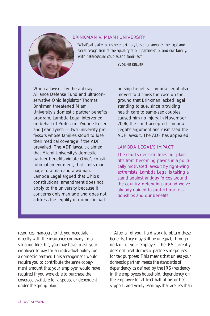

### *BRINKMAN V. MIAMI UNIVERSITY*

*"What's at stake for us here is simply basic for anyone: the legal and social recognition of the equality of our partnership, and our family, with heterosexual couples and families."* 

— YVONNE KELLER

When a lawsuit by the antigay Alliance Defense Fund and ultraconservative Ohio legislator Thomas Brinkman threatened Miami University's domestic partner benefits program, Lambda Legal intervened on behalf of Professors Yvonne Keller and Jean Lynch — two university professors whose families stood to lose their medical coverage if the ADF prevailed. The ADF lawsuit claimed that Miami University's domestic partner benefits violate Ohio's constitutional amendment, that limits marriage to a man and a woman. Lambda Legal argued that Ohio's constitutional amendment does not apply to the university because it concerns only marriage and does not address the legality of domestic partnership benefits. Lambda Legal also moved to dismiss the case on the ground that Brinkman lacked legal standing to sue, since providing health care to same-sex couples caused him no injury. In November 2006, the court accepted Lambda Legal's argument and dismissed the ADF lawsuit. The ADF has appealed.

### LAMBDA LEGAL'S IMPACT

The court's decision frees our plaintiffs from becoming pawns in a politically motivated lawsuit by right-wing extremists. Lambda Legal is taking a stand against antigay forces around the country, defending ground we've already gained to protect our relationships and our benefits.

resources managers to let you negotiate directly with the insurance company. In a situation like this, you may have to ask your employer to pay for an individual policy for a domestic partner. This arrangement would require you to contribute the same copayment amount that your employer would have required if you were able to purchase the coverage available for a spouse or dependent under the group plan.

After all of your hard work to obtain these benefits, they may still be unequal, through no fault of your employer. The IRS currently does not treat domestic partners as spouses for tax purposes. This means that unless your domestic partner meets the standards of dependency as defined by the IRS (residency in the employee's household, dependency on the employee for at least half of his or her support, and yearly earnings that are less than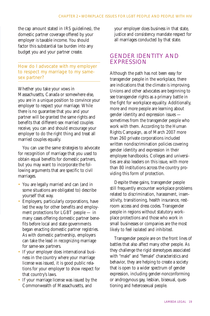the cap amount stated in IRS guidelines), the domestic partner coverage offered by your employer is taxable income. You should factor this substantial tax burden into any budget you and your partner create.

How do I advocate with my employer to respect my marriage to my samesex partner?

Whether you take your vows in Massachusetts, Canada or somewhere else, you are in a unique position to convince your employer to respect your marriage. While there is no guarantee that you and your partner will be granted the same rights and benefits that different-sex married couples receive, you can and should encourage your employer to do the right thing and treat all married couples equally.

You can use the same strategies to advocate for recognition of marriage that you used to obtain equal benefits for domestic partners, but you may want to incorporate the following arguments that are specific to civil marriages.

- You are legally married and can (and in some situations are obligated to) describe yourself that way.
- Employers, particularly corporations, have led the way for other benefits and employment protections for LGBT people — in many cases offering domestic partner benefits before local and state governments began enacting domestic partner registries. As with domestic partnership, employers can take the lead in recognizing marriage for same-sex partners.
- If your employer does international business in the country where your marriage license was issued, it is good public relations for your employer to show respect for that country's laws.
- If your marriage license was issued by the Commonwealth of Massachusetts, and

your employer does business in that state, justice and consistency mandate respect for all marriages conducted by that state.

# GENDER IDENTITY AND EXPRESSION

Although the path has not been easy for transgender people in the workplace, there are indications that the climate is improving. Unions and other advocates are beginning to see transgender rights as a primary battle in the fight for workplace equality. Additionally, more and more people are learning about gender identity and expression issues sometimes from the transgender people who work with them. According to the Human Rights Campaign, as of March 2007 more than 260 private corporations included written nondiscrimination policies covering gender identity and expression in their employee handbooks. Colleges and universities are also leaders on this issue, with more than 80 institutions across the country providing this form of protection.

Despite these gains, transgender people still frequently encounter workplace problems related to discrimination, harassment, insensitivity, transitioning, health insurance, restroom access and dress codes. Transgender people in regions without statutory workplace protections and those who work in small businesses or companies are the most likely to feel isolated and inhibited.

Transgender people are on the front lines of battles that also affect many other people. As they challenge the rigid stereotypes associated with "male" and "female" characteristics and behavior, they are helping to create a society that is open to a wider spectrum of gender expression, including gender-nonconforming or androgynous gay, lesbian, bisexual, questioning and heterosexual people.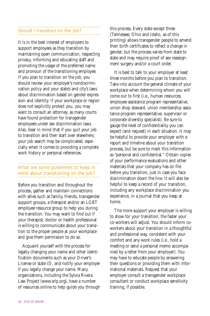# Should I transition on the job?

It is in the best interest of employers to support employees as they transition by maintaining open communication, respecting privacy, informing and educating staff and promoting the usage of the preferred name and pronoun of the transitioning employee. If you plan to transition on the job, you should review your employer's nondiscrimination policy and your state's and city's laws about discrimination based on gender expression and identity. If your workplace or region does not explicitly protect you, you may want to consult an attorney, as many courts have found protection for transgender employees under sex discrimination laws. Also, bear in mind that if you quit your job to transition and then start over elsewhere, your job search may be complicated, especially when it comes to providing a complete work history or personal references.

# What are some guidelines to keep in mind about transitioning on the job?

Before you transition and throughout the process, gather and maintain connections with allies such as family, friends, transgender support groups, a therapist and/or an LGBT employee resource group to help you during the transition. You may want to find out if your therapist, doctor or health professional is willing to communicate about your transition to the proper people at your workplace and give them permission to do so.

Acquaint yourself with the process for legally changing your name and other identification documents such as your Driver's License or state ID, and notify your employer if you legally change your name. Many organizations, including the Sylvia Rivera Law Project (www.srlp.org), have a number of resources online to help guide you through this process. Every state except three (Tennessee, Ohio and Idaho, as of this printing) allows transgender people to amend their birth certificates to reflect a change in gender, but the process varies from state to state and may require proof of sex reassignment surgery and/or a court order.

It is best to talk to your employer at least three months before you plan to transition. Take into account the general climate of your workplace when determining whom you will come out to first (i.e., human resources, employee assistance program representative, union shop steward, union membership assistance program representative, supervisor or corporate diversity specialist). Be sure to gauge the level of confidentiality you can expect (and request) in each situation. It may be helpful to provide your employer with a report and timeline about your transition process, but be sure to mark this information as "personal and confidential." Obtain copies of your performance evaluations and other materials that your company has on file before you transition, just in case you face discrimination down the line. It will also be helpful to keep a record of your transition, including any workplace discrimination you experience, in a journal that you keep at home.

The more support your employer is willing to show for your transition, the faster your co-workers will adjust. You should inform coworkers about your transition in a thoughtful and professional way, consistent with your comfort and any work rules (i.e., hold a meeting or send a personal memo accompanied by a letter from your employer). You may have to educate people by answering their questions or providing them with informational materials. Request that your employer consult a transgender workplace consultant or conduct workplace sensitivity training, if possible.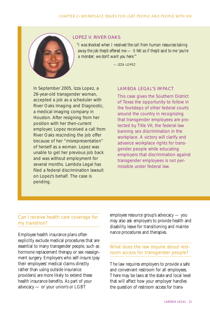

#### *LOPEZ V. RIVER OAKS*

*"I was shocked when I received the call from human resources taking away the job they'd offered me — it felt as if they'd said to me 'you're a monster; we don't want you here.'"*

— IZZA LOPEZ

In September 2005, Izza Lopez, a 26-year-old transgender woman, accepted a job as a scheduler with River Oaks Imaging and Diagnostic, a medical imaging company in Houston. After resigning from her position with her then-current employer, Lopez received a call from River Oaks rescinding the job offer because of her "misrepresentation" of herself as a woman. Lopez was unable to get her previous job back and was without employment for several months. Lambda Legal has filed a federal discrimination lawsuit on Lopez's behalf. The case is pending.

### LAMBDA LEGAL'S IMPACT

This case gives the Southern District of Texas the opportunity to follow in the footsteps of other federal courts around the country in recognizing that transgender employees are protected by Title VII, the federal law banning sex discrimination in the workplace. A victory will clarify and advance workplace rights for transgender people while educating employers that discrimination against transgender employees is not permissible under federal law.

# Can I receive health care coverage for my transition?

Employee health insurance plans often explicitly exclude medical procedures that are essential to many transgender people, such as hormone replacement therapy or sex reassignment surgery. Employers who self-insure (pay their employees' medical claims directly rather than using outside insurance providers) are more likely to extend these health insurance benefits. As part of your advocacy — or your union's or LGBT

employee resource group's advocacy — you may also ask employers to provide health and disability leave for transitioning and maintenance procedures and therapies.

# What does the law require about restroom access for transgender people?

The law requires employers to provide a safe and convenient restroom for all employees. There may be laws at the state and local level that will affect how your employer handles the question of restroom access for trans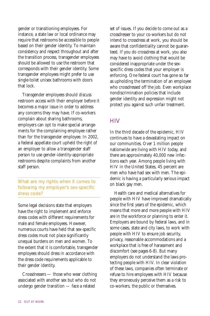gender or transitioning employees. For instance, a state law or local ordinance may require that restrooms be accessible to people based on their gender identity. To maintain consistency and respect throughout and after the transition process, transgender employees should be allowed to use the restroom that corresponds with their gender identity. Some transgender employees might prefer to use single-toilet unisex bathrooms with doors that lock.

Transgender employees should discuss restroom access with their employer before it becomes a major issue in order to address any concerns they may have. If co-workers complain about sharing bathrooms, employers can opt to make special arrangements for the complaining employee rather than for the transgender employee. In 2002, a federal appellate court upheld the right of an employer to allow a transgender staff person to use gender-identity-appropriate restrooms despite complaints from another staff person.

What are my rights when it comes to following my employer's sex-specific dress code?

Some legal decisions state that employers have the right to implement and enforce dress codes with different requirements for male and female employees. However, numerous courts have held that sex-specific dress codes must not place significantly unequal burdens on men and women. To the extent that it is comfortable, transgender employees should dress in accordance with the dress code requirements applicable to their gender identity.

Crossdressers — those who wear clothing associated with another sex but who do not undergo gender transition — face a related

set of issues. If you decide to come out as a crossdresser to your co-workers but do not intend to crossdress at work, you should be aware that confidentiality cannot be guaranteed. If you do crossdress at work, you also may have to avoid clothing that would be considered inappropriate under the sexspecific dress codes that your employer is enforcing. One federal court has gone so far as upholding the termination of an employee who crossdressed off the job. Even workplace nondiscrimination policies that include gender identity and expression might not protect you against such unfair treatment.

# **HIV**

In the third decade of the epidemic, HIV continues to have a devastating impact on our communities. Over 1 million people nationwide are living with HIV today, and there are approximately 40,000 new infections each year. Among people living with HIV in the United States, 45 percent are men who have had sex with men. The epidemic is having a particularly serious impact on black gay men.

Health care and medical alternatives for people with HIV have improved dramatically since the first years of the epidemic, which means that more and more people with HIV are in the workforce or planning to enter it. Employers are bound by federal laws, and in some cases, state and city laws, to work with people with HIV to ensure job security, privacy, reasonable accommodations and a workplace that is free of harassment and discomfort (see pages 6-8). But many employers do not understand the laws protecting people with HIV. In clear violation of these laws, companies often terminate or refuse to hire employees with HIV because they erroneously perceive them as a risk to co-workers, the public or themselves.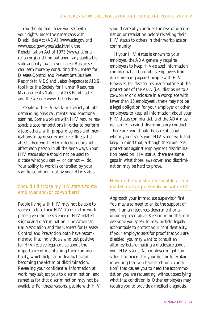You should familiarize yourself with your rights under the Americans with Disabilities Act (ADA) (www.ada.gov and www.eeoc.gov/types/ada.html), the Rehabilitation Act of 1973 (www.nationalrehab.org) and find out about any applicable state and city laws in your area. Businesses can learn more by consulting the Centers for Disease Control and Prevention's *Business Responds to AIDS* and *Labor Responds to AIDS* tool kits, the Society for Human Resources Management's *National AIDS Fund Tool Kit* and the website www.thebody.com.

People with HIV work in a variety of jobs demanding physical, mental and emotional stamina. Some workers with HIV require reasonable accommodations in order to perform a job; others, with proper diagnosis and medications, may never experience illness that affects their work. HIV infection does not affect each person in all the same ways. Your HIV status alone should not be used to dictate what you can — or cannot — do. Your ability to work is controlled by your specific condition, not by your HIV status.

# Should I disclose my HIV status to my employer and/or co-workers?

People living with HIV may not be able to safely disclose their HIV status in the workplace given the persistence of HIV-related stigma and discrimination. The American Bar Association and the Centers for Disease Control and Prevention both have recommended that individuals who test positive for HIV receive legal advice about the importance of maintaining their confidentiality, which helps an individual avoid becoming the victim of discrimination. Revealing your confidential information at work may subject you to discrimination, and remedies for that discrimination may not be available. For these reasons, people with HIV should carefully consider the risk of discrimination or retaliation before revealing their HIV status to others in their workplace or community.

If your HIV status is known to your employer, the ADA generally requires employers to keep HIV-related information confidential and prohibits employers from discriminating against people with HIV. However, for disclosures made outside of the protections of the ADA (i.e., disclosure to a co-worker or disclosure in a workplace with fewer than 15 employees), there may not be a legal obligation for your employer or other employees to keep all information about your HIV status confidential, and the ADA may not protect against discriminatory conduct. Therefore, you should be careful about whom you discuss your HIV status with and keep in mind that, although there are legal protections against employment discrimination based on HIV status, there are some gaps in what those laws cover, and discrimination may be hard to prove.

# How do I request a reasonable accommodation as a person living with HIV?

Approach your immediate supervisor first. You may also need to enlist the support of your human resources department or a union representative. Keep in mind that not everyone you speak to may be held legally accountable to protect your confidentiality. If your employer asks for proof that you are disabled, you may want to consult an attorney before making a disclosure about your HIV status. An employer might consider it sufficient for your doctor to explain in writing that you have a "chronic condition" that causes you to need the accommodation you are requesting, without specifying what that condition is. Other employers may require you to provide a medical diagnosis.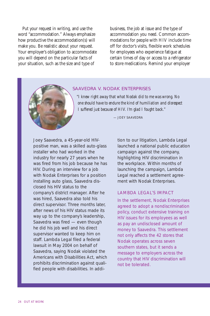Put your request in writing, and use the word "accommodation." Always emphasize how productive the accommodation(s) will make you. Be realistic about your request. Your employer's obligation to accommodate you will depend on the particular facts of your situation, such as the size and type of

business, the job at issue and the type of accommodation you need. Common accommodations for people with HIV include time off for doctor's visits, flexible work schedules for employees who experience fatigue at certain times of day or access to a refrigerator to store medications. Remind your employer



#### *SAAVEDRA V. NODAK ENTERPRISES*

*"I knew right away that what Nodak did to me was wrong. No one should have to endure the kind of humiliation and disrespect I suffered just because of HIV. I'm glad I fought back."*

*— JOEY SAAVEDRA*

Joey Saavedra, a 45-year-old HIVpositive man, was a skilled auto-glass installer who had worked in the industry for nearly 27 years when he was fired from his job because he has HIV. During an interview for a job with Nodak Enterprises for a position installing auto glass, Saavedra disclosed his HIV status to the company's district manager. After he was hired, Saavedra also told his direct supervisor. Three months later, after news of his HIV status made its way up to the company's leadership, Saavedra was fired — even though he did his job well and his direct supervisor wanted to keep him on staff. Lambda Legal filed a federal lawsuit in May 2004 on behalf of Saavedra, saying Nodak violated the Americans with Disabilities Act, which prohibits discrimination against qualified people with disabilities. In addi-

tion to our litigation, Lambda Legal launched a national public education campaign against the company, highlighting HIV discrimination in the workplace. Within months of launching the campaign, Lambda Legal reached a settlement agreement with Nodak Enterprises.

#### LAMBDA LEGAL'S IMPACT

In the settlement, Nodak Enterprises agreed to adopt a nondiscrimination policy, conduct extensive training on HIV issues for its employees as well as pay an undisclosed amount of money to Saavedra. This settlement not only affects the 42 stores that Nodak operates across seven southern states, but it sends a message to employers across the country that HIV discrimination will not be tolerated.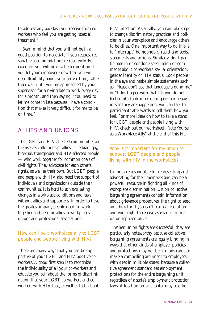to address any backlash you receive from coworkers who feel you are getting "special treatment."

Bear in mind that you will not be in a good position to negotiate if you request reasonable accommodations retroactively. For example, you will be in a better position if you let your employer know that you will need flexibility about your arrival time, rather than wait until you are approached by your supervisor for arriving late to work every day for a month, and then saying, "You need to let me come in late because I have a condition that makes it very difficult for me to be on time."

# ALLIES AND UNIONS

The LGBT and HIV-affected communities are themselves collections of allies — lesbian, gay, bisexual, transgender and HIV-affected people — who work together for common goals of civil rights. They advocate for each other's rights, as well as their own. But LGBT people and people with HIV also need the support of individuals and organizations outside their communities. It is hard to achieve lasting changes in workplace conditions and laws without allies and supporters. In order to have the greatest impact, people need to work together and become allies in workplaces, unions and professional associations.

# How can I be a workplace ally to LGBT people and people living with HIV?

There are many ways that you can be supportive of your LGBT and HIV-positive coworkers. A good first step is to recognize the individuality of all your co-workers and educate yourself about the forms of discrimination that your LGBT co-workers and coworkers with HIV face, as well as facts about HIV infection. As an ally, you can take steps to change discriminatory practices and policies in your workplace and encourage others to be allies. One important way to do this is to "interrupt" homophobic, racist and sexist statements and actions. Similarly, don't participate in or condone speculation or comments about co-workers' sexual orientation, gender identity or HIV status. Look people in the eye and make simple statements such as "Please don't use that language around me" or "I don't agree with that." If you do not feel comfortable interrupting certain behaviors as they are happening, you can talk to participants afterwards to tell them how you feel. For more ideas on how to take a stand for LGBT people and people living with HIV, check out our worksheet "Rate Yourself as a Workplace Ally" at the end of this kit.

# Why is it important for my union to support LGBT people and people living with HIV in the workplace?

Unions are responsible for representing and advocating for their members and can be a powerful resource in fighting all kinds of workplace discrimination. Union collective bargaining agreements contain information about grievance procedures, the right to seek an arbitrator if you can't reach a resolution and your right to receive assistance from a union representative.

When union fights are successful, they are particularly noteworthy because collective bargaining agreements are legally binding in ways that other kinds of employer policies and protections may not be. Unions can also make a compelling argument to employers with sites in multiple states, because a collective agreement standardizes employment protections for the entire bargaining unit, regardless of a state's employment protection laws. A local union or chapter may also be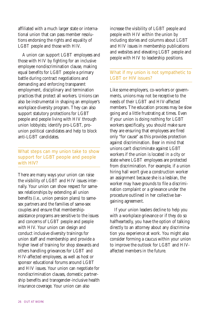affiliated with a much larger state or international union that can pass member resolutions endorsing the rights and equality of LGBT people and those with HIV.

A union can support LGBT employees and those with HIV by fighting for an inclusive employee nondiscrimination clause, making equal benefits for LGBT people a primary battle during contract negotiations and demanding and enforcing transparent employment, disciplinary and termination practices that protect all workers. Unions can also be instrumental in shaping an employer's workplace diversity program. They can also support statutory protections for LGBT people and people living with HIV through union lobbyists; identify pro-LGBT, prounion political candidates and help to block anti-LGBT candidates.

# What steps can my union take to show support for LGBT people and people with HIV?

There are many ways your union can raise the visibility of LGBT and HIV issues internally. Your union can show respect for samesex relationships by extending all union benefits (i.e., union pension plans) to samesex partners and the families of same-sex couples and ensure that membershipassistance programs are sensitive to the issues and concerns of LGBT people and people with HIV. Your union can design and conduct inclusive diversity trainings for union staff and membership and provide a higher level of training for shop stewards and others handling grievances for LGBT and HIV-affected employees, as well as host or sponsor educational forums around LGBT and HIV issues. Your union can negotiate for nondiscrimination clauses, domestic partnership benefits and transgender-inclusive health insurance coverage. Your union can also

increase the visibility of LGBT people and people with HIV within the union by including stories and columns about LGBT and HIV issues in membership publications and websites and elevating LGBT people and people with HIV to leadership positions.

# What if my union is not sympathetic to LGBT or HIV issues?

Like some employers, co-workers or governments, unions may not be receptive to the needs of their LGBT and HIV-affected members. The education process may be slow going and a little frustrating at times. Even if your union is doing nothing for LGBT workers specifically, you should make sure they are ensuring that employees are fired only "for cause" as this provides protection against discrimination. Bear in mind that unions can't discriminate against LGBT workers if the union is located in a city or state where LGBT employees are protected from discrimination. For example, if a union hiring hall won't give a construction worker an assignment because she is a lesbian, the worker may have grounds to file a discrimination complaint or a grievance under the procedure outlined in her collective bargaining agreement.

If your union leaders decline to help you with a workplace grievance or if they do so halfheartedly, you have the option of talking directly to an attorney about any discrimination you experience at work. You might also consider forming a caucus within your union to improve the outlook for LGBT and HIVaffected members in the future.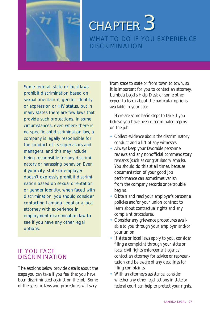

# WHAT TO DO IF YOU EXPERIENCE **DISCRIMINATION** *CHAPTER CHAPTER 3*

Some federal, state or local laws prohibit discrimination based on sexual orientation, gender identity or expression or HIV status, but in many states there are few laws that provide such protections. In some circumstances, even where there is no specific antidiscrimination law, a company is legally responsible for the conduct of its supervisors and managers, and this may include being responsible for any discriminatory or harassing behavior. Even if your city, state or employer doesn't expressly prohibit discrimination based on sexual orientation or gender identity, when faced with discrimination, you should consider contacting Lambda Legal or a local attorney with experience in employment discrimination law to see if you have any other legal options.

# IF YOU FACE **DISCRIMINATION**

The sections below provide details about the steps you can take if you feel that you have been discriminated against on the job. Some of the specific laws and procedures will vary

from state to state or from town to town, so it is important for you to contact an attorney, Lambda Legal's Help Desk or some other expert to learn about the particular options available in your case.

Here are some basic steps to take if you believe you have been discriminated against on the job:

- Collect evidence about the discriminatory conduct and a list of any witnesses.
- Always keep your favorable personnel reviews and any nonofficial commendatory remarks (such as congratulatory emails). You should do this at all times, because documentation of your good job performance can sometimes vanish from the company records once trouble begins.
- Obtain and read your employer's personnel policies and/or your union contract to learn about contractual rights and any complaint procedures.
- Consider any grievance procedures available to you through your employer and/or your union.
- If state or local laws apply to you, consider filing a complaint through your state or local civil rights enforcement agency; contact an attorney for advice or representation and be aware of any deadlines for filing complaints.
- With an attorney's assistance, consider whether any other legal actions in state or federal court can help to protect your rights.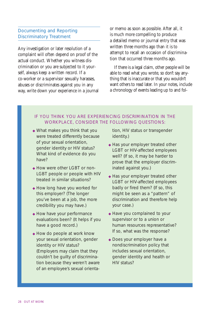# Documenting and Reporting Discriminatory Treatment

Any investigation or later resolution of a complaint will often depend on proof of the actual conduct. Whether you witness discrimination or you are subjected to it yourself, always keep a written record. If a co-worker or a supervisor sexually harasses, abuses or discriminates against you in any way, write down your experience in a journal or memo as soon as possible. After all, it is much more compelling to produce a detailed memo or journal entry that was written three months ago than it is to attempt to recall an occasion of discrimination that occurred three months ago.

If there is a legal claim, other people will be able to read what you wrote, so don't say anything that is inaccurate or that you wouldn't want others to read later. In your notes, include a chronology of events leading up to and fol-

# IF YOU THINK YOU ARE EXPERIENCING DISCRIMINATION IN THE WORKPLACE, CONSIDER THE FOLLOWING QUESTIONS:

- ◆ What makes you think that you were treated differently because of your sexual orientation, gender identity or HIV status? What kind of evidence do you have?
- ◆ How were other LGBT or non-LGBT people or people with HIV treated in similar situations?
- ◆ How long have you worked for this employer? (The longer you've been at a job, the more credibility you may have.)
- ◆ How have your performance evaluations been? (It helps if you have a good record.)
- ◆ How do people at work know your sexual orientation, gender identity or HIV status? (Employers may claim that they couldn't be guilty of discrimination because they weren't aware of an employee's sexual orienta-

tion, HIV status or transgender identity.)

- ◆ Has your employer treated other LGBT or HIV-affected employees well? (If so, it may be harder to prove that the employer discriminated against you.)
- ◆ Has your employer treated other LGBT or HIV-affected employees badly or fired them? (If so, this might be seen as a "pattern" of discrimination and therefore help your case.)
- ◆ Have you complained to your supervisor or to a union or human resources representative? If so, what was the response?
- ◆ Does your employer have a nondiscrimination policy that includes sexual orientation, gender identity and health or HIV status?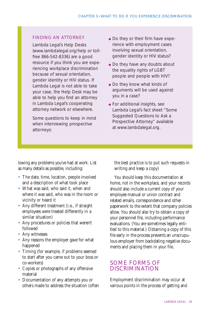# FINDING AN ATTORNEY

Lambda Legal's Help Desks (www.lambdalegal.org/help or tollfree 866-542-8336) are a good resource if you think you are experiencing workplace discrimination because of sexual orientation, gender identity or HIV status. If Lambda Legal is not able to take your case, the Help Desk may be able to help you find an attorney in Lambda Legal's cooperating attorney network or elsewhere.

Some questions to keep in mind when interviewing prospective attorneys:

- ◆ Do they or their firm have experience with employment cases involving sexual orientation, gender identity or HIV status?
- ◆ Do they have any doubts about the equality rights of LGBT people and people with HIV?
- ◆ Do they know what kinds of arguments will be used against you in a case?
- ◆ For additional insights, see Lambda Legal's fact sheet "Some Suggested Questions to Ask a Prospective Attorney" available at www.lambdalegal.org.

lowing any problems you've had at work. List as many details as possible, including:

- The date, time, location, people involved and a description of what took place
- What was said, who said it, when and where it was said, who was in the room or vicinity or heard it
- Any different treatment (i.e., if straight employees were treated differently in a similar situation)
- Any procedures or policies that weren't followed
- Any witnesses
- Any reasons the employer gave for what happened
- Timing (for example, if problems seemed) to start after you came out to your boss or co-workers)
- Copies or photographs of any offensive material
- Documentation of any attempts you or others made to address the situation (often

the best practice is to put such requests in writing and keep a copy)

You should keep this documentation at home, not in the workplace, and your records should also include a current copy of your employee manual or union contract and related emails, correspondence and other paperwork to the extent that company policies allow. You should also try to obtain a copy of your personnel file, including performance evaluations. (You are sometimes legally entitled to this material.) Obtaining a copy of this file early in the process prevents an unscrupulous employer from backdating negative documents and placing them in your file.

# SOME FORMS OF DISCRIMINATION

Employment discrimination may occur at various points in the process of getting and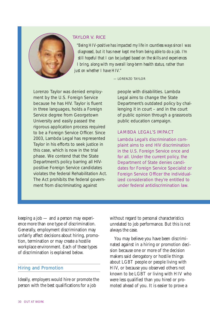

# *TAYLOR V. RICE*

*"Being HIV-positive has impacted my life in countless ways since I was diagnosed, but it has never kept me from being able to do a job. I'm still hopeful that I can be judged based on the skills and experiences I bring, along with my overall long-term health status, rather than just on whether I have HIV."*

*— LORENZO TAYLOR*

Lorenzo Taylor was denied employment by the U.S. Foreign Service because he has HIV. Taylor is fluent in three languages, holds a Foreign Service degree from Georgetown University and easily passed the rigorous application process required to be a Foreign Service Officer. Since 2003, Lambda Legal has represented Taylor in his efforts to seek justice in this case, which is now in the trial phase. We contend that the State Department's policy barring all HIVpositive Foreign Service candidates violates the federal Rehabilitation Act. The Act prohibits the federal government from discriminating against

people with disabilities. Lambda Legal aims to change the State Department's outdated policy by challenging it in court – and in the court of public opinion through a grassroots public education campaign.

# LAMBDA LEGAL'S IMPACT

Lambda Legal's discrimination complaint aims to end HIV discrimination in the U.S. Foreign Service once and for all. Under the current policy, the Department of State denies candidates for Foreign Service Specialist or Foreign Service Officer the individualized consideration they're entitled to under federal antidiscrimination law.

keeping a job — and a person may experience more than one type of discrimination. Generally, employment discrimination may unfairly affect decisions about hiring, promotion, termination or may create a hostile workplace environment. Each of these types of discrimination is explained below.

# Hiring and Promotion

Ideally, employers would hire or promote the person with the best qualifications for a job

without regard to personal characteristics unrelated to job performance. But this is not always the case.

You may believe you have been discriminated against in a hiring or promotion decision because one or more of the decision makers said derogatory or hostile things about LGBT people or people living with HIV, or because you observed others not known to be LGBT or living with HIV who were less qualified than you hired or promoted ahead of you. It is easier to prove a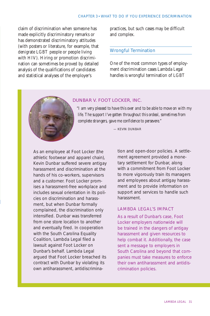claim of discrimination when someone has made explicitly discriminatory remarks or has demonstrated discriminatory attitudes (with posters or literature, for example, that denigrate LGBT people or people living with HIV). Hiring or promotion discrimination can sometimes be proved by detailed analysis of the qualifications of candidates and statistical analyses of the employer's

practices, but such cases may be difficult and complex.

#### Wrongful Termination

One of the most common types of employment discrimination cases Lambda Legal handles is wrongful termination of LGBT

### *DUNBAR V. FOOT LOCKER, INC.*

*"I am very pleased to have this over and to be able to move on with my life. The support I've gotten throughout this ordeal, sometimes from complete strangers, gave me confidence to persevere."* 

*— KEVIN DUNBAR*

As an employee at Foot Locker (the athletic footwear and apparel chain), Kevin Dunbar suffered severe antigay harassment and discrimination at the hands of his co-workers, supervisors and a customer. Foot Locker promises a harassment-free workplace and includes sexual orientation in its policies on discrimination and harassment, but when Dunbar formally complained, the discrimination only intensified. Dunbar was transferred from one store location to another and eventually fired. In cooperation with the South Carolina Equality Coalition, Lambda Legal filed a lawsuit against Foot Locker on Dunbar's behalf. Lambda Legal argued that Foot Locker breached its contract with Dunbar by violating its own antiharassment, antidiscrimination and open-door policies. A settlement agreement provided a monetary settlement for Dunbar, along with a commitment from Foot Locker to more vigorously train its managers and employees about antigay harassment and to provide information on support and services to handle such harassment.

# LAMBDA LEGAL'S IMPACT

As a result of Dunbar's case, Foot Locker employers nationwide will be trained in the dangers of antigay harassment and given resources to help combat it. Additionally, the case sent a message to employers in South Carolina and beyond that companies must take measures to enforce their own antiharassment and antidiscrimination policies.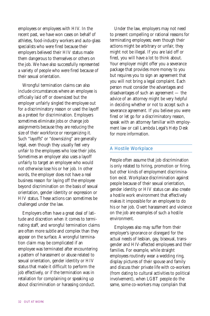employees or employees with HIV. In the recent past, we have won cases on behalf of athletes, food-industry workers and auto-glass specialists who were fired because their employers believed their HIV status made them dangerous to themselves or others on the job. We have also successfully represented a variety of people who were fired because of their sexual orientation.

Wrongful termination claims can also include circumstances where an employee is officially laid off or downsized but the employer unfairly singled the employee out for a discriminatory reason or used the layoff as a pretext for discrimination. Employers sometimes eliminate jobs or change job assignments because they are reducing the size of their workforce or reorganizing it. Such "layoffs" or "downsizing" are generally legal, even though they usually feel very unfair to the employees who lose their jobs. Sometimes an employer also uses a layoff unfairly to target an employee who would not otherwise lose his or her job. In other words, the employer does not have a real business reason for laying off the employee beyond discrimination on the basis of sexual orientation, gender identity or expression or HIV status. These actions can sometimes be challenged under the law.

Employers often have a great deal of latitude and discretion when it comes to terminating staff, and wrongful termination claims are often more subtle and complex than they appear on the surface. A wrongful termination claim may be complicated if an employee was terminated after encountering a pattern of harassment or abuse related to sexual orientation, gender identity or HIV status that made it difficult to perform the job effectively, or if the termination was in retaliation for complaining or speaking up about discrimination or harassing conduct.

Under the law, employers may not need to present compelling or rational reasons for terminating employees; even though their actions might be arbitrary or unfair, they might not be illegal. If you are laid off or fired, you will have a lot to think about. Your employer might offer you a severance package that provides more money to you but requires you to sign an agreement that you will not bring a legal complaint. Each person must consider the advantages and disadvantages of such an agreement — the advice of an attorney might be very helpful in deciding whether or not to accept such a severance agreement. If you believe you were fired or let go for a discriminatory reason, speak with an attorney familiar with employment law or call Lambda Legal's Help Desk for more information.

# A Hostile Workplace

People often assume that job discrimination is only related to hiring, promotion or firing, but other kinds of employment discrimination exist. Workplace discrimination against people because of their sexual orientation, gender identity or HIV status can also create a hostile work environment that effectively makes it impossible for an employee to do his or her job. Overt harassment and violence on the job are examples of such a hostile environment.

Employees also may suffer from their employer's ignorance or disregard for the actual needs of lesbian, gay, bisexual, transgender and HIV-affected employees and their families. For example, while straight employees routinely wear a wedding ring, display pictures of their spouse and family and discuss their private life with co-workers (from dating to cultural activities to political involvement), when LGBT people do the same, some co-workers may complain that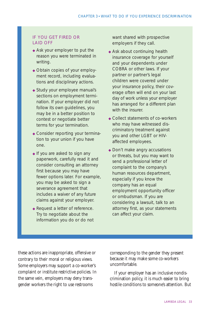# IF YOU GET FIRED OR LAID OFF

- ◆ Ask your employer to put the reason you were terminated in writing.
- ◆ Obtain copies of your employment record, including evaluations and disciplinary actions.
- ◆ Study your employee manual's sections on employment termination. If your employer did not follow its own guidelines, you may be in a better position to contest or negotiate better terms for your termination.
- ◆ Consider reporting your termination to your union if you have one.
- ◆ If you are asked to sign any paperwork, carefully read it and consider consulting an attorney first because you may have fewer options later. For example, you may be asked to sign a severance agreement that includes a waiver of any future claims against your employer.
- ◆ Request a letter of reference. Try to negotiate about the information you do or do not

want shared with prospective employers if they call.

- ◆ Ask about continuing health insurance coverage for yourself and your dependents under COBRA or other laws. If your partner or partner's legal children were covered under your insurance policy, their coverage often will end on your last day of work unless your employer has arranged for a different plan with the insurer.
- ◆ Collect statements of co-workers who may have witnessed discriminatory treatment against you and other LGBT or HIVaffected employees.
- ◆ Don't make angry accusations or threats, but you may want to send a professional letter of complaint to the company's human resources department, especially if you know the company has an equal employment opportunity officer or ombudsman. If you are considering a lawsuit, talk to an attorney first, as your statements can affect your claim.

these actions are inappropriate, offensive or contrary to their moral or religious views. Some employers may support a co-worker's complaint or institute restrictive policies. In the same vein, employers may deny transgender workers the right to use restrooms

corresponding to the gender they present because it may make some co-workers uncomfortable.

If your employer has an inclusive nondiscrimination policy, it is much easier to bring hostile conditions to someone's attention. But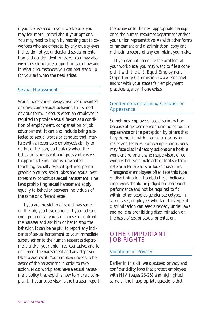if you feel isolated in your workplace, you may feel more limited about your options. You may need to begin by reaching out to coworkers who are offended by any cruelty even if they do not yet understand sexual orientation and gender identity issues. You may also wish to seek outside support to learn how and in what circumstances you can best stand up for yourself when the need arises.

### Sexual Harassment

Sexual harassment always involves unwanted or unwelcome sexual behavior. In its most obvious form, it occurs when an employee is required to provide sexual favors as a condition of employment, compensation or job advancement. It can also include being subjected to sexual words or conduct that interfere with a reasonable employee's ability to do his or her job, particularly when the behavior is persistent and grossly offensive. Inappropriate invitations, unwanted touching, sexually explicit gestures, pornographic pictures, sexist jokes and sexual overtones may constitute sexual harassment. The laws prohibiting sexual harassment apply equally to behavior between individuals of the same or different sexes.

If you are the victim of sexual harassment on the job, you have options: If you feel safe enough to do so, you can choose to confront the harasser and ask him or her to stop the behavior. It can be helpful to report any incidents of sexual harassment to your immediate supervisor or to the human resources department and/or your union representative, and to document the harassment and any steps you take to address it. Your employer needs to be aware of the harassment in order to take action. Most workplaces have a sexual harassment policy that explains how to make a complaint. If your supervisor is the harasser, report

the behavior to the next appropriate manager or to the human resources department and/or your union representative. As with other forms of harassment and discrimination, copy and maintain a record of any complaint you make.

If you cannot reconcile the problem at your workplace, you may want to file a complaint with the U.S. Equal Employment Opportunity Commission (www.eeoc.gov) and/or with your state's fair employment practices agency, if one exists.

# Gender-nonconforming Conduct or Appearance

Sometimes employees face discrimination because of gender-nonconforming conduct or appearance or the perception by others that they do not fit within cultural norms for males and females. For example, employees may face discriminatory actions or a hostile work environment when supervisors or coworkers believe a male acts or looks effeminate or a female acts or looks masculine. Transgender employees often face this type of discrimination. Lambda Legal believes employees should be judged on their work performance and not be required to fit within other people's gender stereotypes. In some cases, employees who face this type of discrimination can seek a remedy under laws and policies prohibiting discrimination on the basis of sex or sexual orientation.

# OTHER IMPORTANT JOB RIGHTS

#### Violations of Privacy

Earlier in this kit, we discussed privacy and confidentiality laws that protect employees with HIV (pages 23-25) and highlighted some of the inappropriate questions that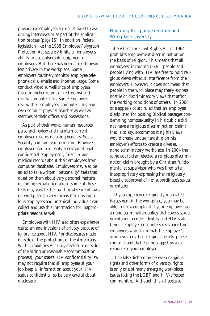prospective employers are not allowed to ask during interviews or as part of the application process (page 15). In addition, federal legislation like the 1988 Employee Polygraph Protection Act severely limits an employer's ability to use polygraph equipment on employees. But there has been a trend toward less privacy in the workplace. Some employers routinely monitor employee telephone calls, emails and Internet usage. Some conduct video surveillance of employees (even in locker rooms or restrooms) and review computer files. Some employers review their employees' computer files, and even conduct physical searches as well as searches of their offices and possessions.

As part of their work, human resources personnel review and maintain current employee records detailing benefits, Social Security and family information. However, employers can also easily access additional confidential employment, financial and medical records about their employees from computer databases. Employees may also be asked to take written "personality" tests that question them about very personal matters, including sexual orientation. Some of these tests may violate the law. The absence of laws on workplace privacy means that unscrupulous employers and unethical individuals can collect and use this information for inappropriate reasons as well.

Employees with HIV also often experience ostracism and invasions of privacy because of ignorance about HIV. For disclosures made outside of the protections of the Americans With Disabilities Act (i.e., disclosure outside of the hiring or reasonable accommodation process), your state's HIV confidentiality law may not require that all employees at your job keep all information about your HIV status confidential, so be very careful about disclosure.

# Honoring Religious Freedom and Workplace Diversity

Title VII of the Civil Rights Act of 1964 prohibits employment discrimination on the basis of religion. This means that all employees, including LGBT people and people living with HIV, are free to hold religious views without interference from their employers. However, it does not mean that people in the workplace may freely express hostile or discriminatory views that affect the working conditions of others. In 2004 one appeals court ruled that an employee disciplined for posting Biblical passages condemning homosexuality in his cubicle did not have a religious discrimination claim; that is to say, accommodating his views would create undue hardship on his employer's efforts to create a diverse, nondiscriminatory workplace. In 2004 the same court also rejected a religious discrimination claim brought by a Christian fundamentalist supervisor who was fired after inappropriately expressing her religiously based disapproval of her subordinate's sexual orientation.

If you experience religiously-motivated harassment in the workplace, you may be able to file a complaint if your employer has a nondiscrimination policy that covers sexual orientation, gender identity and HIV status. If your employer encounters resistance from employees who claim that the employer's action violates their religious beliefs, please contact Lambda Legal or suggest us as a resource to your employer.

The false dichotomy between religious rights and other forms of diversity rights is only one of many emerging workplace issues facing the LGBT and HIV-affected communities. Although this kit seeks to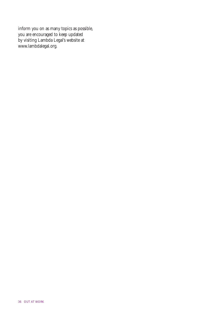inform you on as many topics as possible, you are encouraged to keep updated by visiting Lambda Legal's website at www.lambdalegal.org.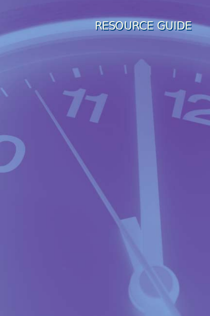# *RESOURCE GUIDE RESOURCE GUIDE*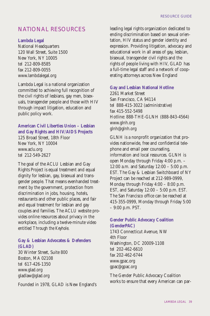# NATIONAL RESOURCES

# **Lambda Legal**

National Headquarters 120 Wall Street, Suite 1500 New York, NY 10005 tel 212-809-8585 fax 212-809-0055 www.lambdalegal.org

Lambda Legal is a national organization committed to achieving full recognition of the civil rights of lesbians, gay men, bisexuals, transgender people and those with HIV through impact litigation, education and public policy work.

# **American Civil Liberties Union – Lesbian and Gay Rights and HIV/AIDS Projects**

125 Broad Street, 18th Floor New York, NY 10004 www.aclu.org tel 212-549-2627

The goal of the ACLU Lesbian and Gay Rights Project is equal treatment and equal dignity for lesbian, gay, bisexual and transgender people. That means evenhanded treatment by the government, protection from discrimination in jobs, housing, hotels, restaurants and other public places, and fair and equal treatment for lesbian and gay couples and families. The ACLU website provides online resources about privacy in the workplace, including a twelve-minute video entitled *Through the Keyhole*.

# **Gay & Lesbian Advocates & Defenders (GLAD)**

30 Winter Street, Suite 800 Boston, MA 02108 tel 617-426-1350 www.glad.org gladlaw@glad.org

Founded in 1978, GLAD is New England's

leading legal rights organization dedicated to ending discrimination based on sexual orientation, HIV status and gender identity and expression. Providing litigation, advocacy and educational work in all areas of gay, lesbian, bisexual, transgender civil rights and the rights of people living with HIV, GLAD has a full-time legal staff and a network of cooperating attorneys across New England

# **Gay and Lesbian National Hotline**

2261 Market Street San Francisco, CA 94114 tel 888-415-3022 (administrative) fax 415-552-5498 Hotline: 888-THE-GLNH (888-843-4564) www.glnh.org glnh@glnh.org

GLNH is a nonprofit organization that provides nationwide, free and confidential telephone and email peer counseling, information and local resources. GLNH is open Monday through Friday 4:00 p.m. – 12:00 a.m. and Saturday 12:00 – 5:00 p.m. EST. The Gay & Lesbian Switchboard of NY Project can be reached at 212-989-0999, Monday through Friday 4:00 – 8:00 p.m. EST, and Saturday 12:00 – 5:00 p.m. EST. The San Francisco office can be reached at 415-355-0999, Monday through Friday 5:00 – 9:00 p.m. PST.

# **Gender Public Advocacy Coalition (GenderPAC)**

1743 Connecticut Avenue, NW 4th Floor Washington, DC 20009-1108 tel 202-462-6610 fax 202-462-6744 www.gpac.org gpac@gpac.org

The Gender Public Advocacy Coalition works to ensure that every American can par-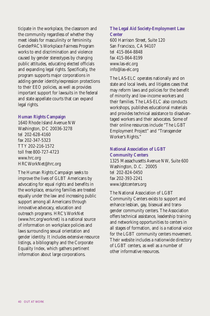ticipate in the workplace, the classroom and the community regardless of whether they meet ideals for masculinity or femininity. GenderPAC's Workplace Fairness Program works to end discrimination and violence caused by gender stereotypes by changing public attitudes, educating elected officials and expanding legal rights. Specifically, the program supports major corporations in adding gender identity/expression protections to their EEO policies, as well as provides important support for lawsuits in the federal and state appellate courts that can expand legal rights.

### **Human Rights Campaign**

1640 Rhode Island Avenue NW Washington, DC 20036-3278 tel 202-628-4160 fax 202-347-5323 TTY 202-216-1572 toll free 800-727-4723 www.hrc.org HRCWorkNet@hrc.org

The Human Rights Campaign seeks to improve the lives of GLBT Americans by advocating for equal rights and benefits in the workplace, ensuring families are treated equally under the law and increasing public support among all Americans through innovative advocacy, education and outreach programs. HRC's WorkNet (www.hrc.org/worknet) is a national source of information on workplace policies and laws surrounding sexual orientation and gender identity. It includes extensive resource listings, a bibliography and the Corporate Equality Index, which gathers pertinent information about large corporations.

# **The Legal Aid Society-Employment Law Center**

600 Harrison Street, Suite 120 San Francisco, CA 94107 tel 415-864-8848 fax 415-864-8199 www.las-elc.org info@las-elc.org

The LAS-ELC operates nationally and on state and local levels, and litigates cases that may reform laws and policies for the benefit of minority and low-income workers and their families. The LAS-ELC also conducts workshops, publishes educational materials and provides technical assistance to disadvantaged workers and their advocates. Some of their online resources include "The LGBT Employment Project" and "Transgender Worker's Rights."

# **National Association of LGBT Community Centers**

1325 Massachusetts Avenue NW, Suite 600 Washington, D.C. 20005 tel 202-824-0450 fax 202-393-2241 www.lgbtcenters.org

The National Association of LGBT Community Centers exists to support and enhance lesbian, gay, bisexual and transgender community centers. The Association offers technical assistance, leadership training and networking opportunities to centers in all stages of formation, and is a national voice for the LGBT community centers movement. Their website includes a nationwide directory of LGBT centers, as well as a number of other informative resources.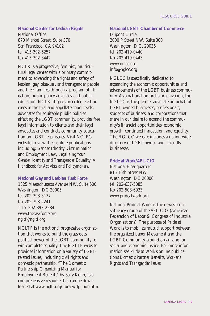# **National Center for Lesbian Rights**

National Office 870 Market Street, Suite 370 San Francisco, CA 94102 tel 415-392-6257 fax 415-392-8442

NCLR is a progressive, feminist, multicultural legal center with a primary commitment to advancing the rights and safety of lesbian, gay, bisexual, and transgender people and their families through a program of litigation, public policy advocacy and public education. NCLR litigates precedent-setting cases at the trial and appellate court levels, advocates for equitable public policies affecting the LGBT community, provides free legal information to clients and their legal advocates and conducts community education on LGBT legal issues. Visit NCLR's website to view their online publications, including: *Gender Identity Discrimination and Employment Law*, *Legalizing Your Gender Identity* and *Transgender Equality: A Handbook for Activists and Policymakers*.

# **National Gay and Lesbian Task Force**

1325 Massachusetts Avenue NW, Suite 600 Washington, DC 20005 tel 202-393-5177 fax 202-393-2241 TTY 202-393-2284 www.thetaskforce.org ngltf@ngltf.org

NGLTF is the national progressive organization that works to build the grassroots political power of the LGBT community to win complete equality. The NGLTF website provides information on a variety of LGBTrelated issues, including civil rights and domestic partnership. "The Domestic Partnership Organizing Manual for Employment Benefits" by Sally Kohn, is a comprehensive resource that can be downloaded at www.ngltf.org/library/dp\_pub.htm.

# **National LGBT Chamber of Commerce**

Dupont Circle 2000 P Street NW, Suite 300 Washington, D.C. 20036 tel 202-419-0440 fax 202-419-0443 www.nglcc.org info@nglcc.org

NGLCC is specifically dedicated to expanding the economic opportunities and advancements of the LGBT business community. As a national umbrella organization, the NGLCC is the premier advocate on behalf of LGBT owned businesses, professionals, students of business, and corporations that share in our desire to expand the community's financial opportunities, economic growth, continued innovation, and equality. The NGLCC website includes a nation-wide directory of LGBT-owned and -friendly businesses.

#### **Pride at Work/AFL-CIO**

National Headquarters 815 16th Street NW Washington, DC 20006 tel 202-637-5085 fax 202-508-6923 www.prideatwork.org

National Pride at Work is the newest constituency group of the AFL-CIO (American Federation of Labor & Congress of Industrial Organizations). The purpose of Pride at Work is to mobilize mutual support between the organized Labor Movement and the LGBT Community around organizing for social and economic justice. For more information see Pride at Work's online publications *Domestic Partner Benefits*, *Worker's Rights* and *Transgender Issues*.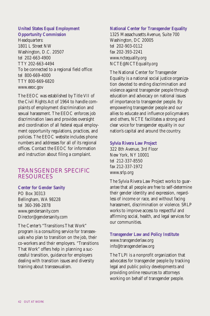# **United States Equal Employment Opportunity Commission**

Headquarters: 1801 L Street NW Washington, D.C. 20507 tel 202-663-4900 TTY 202-663-4494 To be connected to a regional field office: tel 800-669-4000 TTY 800-669-6820 www.eeoc.gov

The EEOC was established by Title VII of the Civil Rights Act of 1964 to handle complaints of employment discrimination and sexual harassment. The EEOC enforces job discrimination laws and provides oversight and coordination of all federal equal employment opportunity regulations, practices, and policies. The EEOC website includes phone numbers and addresses for all of its regional offices. Contact the EEOC for information and instruction about filing a complaint.

# TRANSGENDER SPECIFIC RESOURCES

# **Center for Gender Sanity**

PO Box 30313 Bellingham, WA 98228 tel 360-398-2878 www.gendersanity.com Director@gendersanity.com

The Center's "Transitions That Work" program is a consulting service for transsexuals who plan to transition on the job, their co-workers and their employers. "Transitions That Work" offers help in planning a successful transition, guidance for employers dealing with transition issues and diversity training about transsexualism.

## **National Center for Transgender Equality**

1325 Massachusetts Avenue, Suite 700 Washington, DC 20005 tel 202-903-0112 fax 202-393-2241 www.nctequality.org NCTE@NCTEquality.org

The National Center for Transgender Equality is a national social justice organization devoted to ending discrimination and violence against transgender people through education and advocacy on national issues of importance to transgender people. By empowering transgender people and our allies to educate and influence policymakers and others, NCTE facilitates a strong and clear voice for transgender equality in our nation's capital and around the country.

### **Sylvia Rivera Law Project**

322 8th Avenue, 3rd Floor New York, NY 10001 tel 212-337-8550 fax 212-337-1972 www.srlp.org

The Sylvia Rivera Law Project works to guarantee that all people are free to self-determine their gender identity and expression, regardless of income or race, and without facing harassment, discrimination or violence. SRLP works to improve access to respectful and affirming social, health, and legal services for our communities.

**Transgender Law and Policy Institute** www.transgenderlaw.org info@transgenderlaw.org

The TLPI is a nonprofit organization that advocates for transgender people by tracking legal and public policy developments and providing online resources to attorneys working on behalf of transgender people.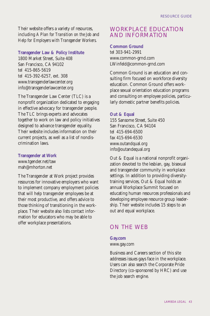Their website offers a variety of resources, including *A Plan for Transition on the Job* and *Help for Employers with Transgender Workers*.

# **Transgender Law & Policy Institute**

1800 Market Street, Suite 408 San Francisco, CA 94102 tel 415-865-5619 tel 415-392-6257, ext. 308 www.transgenderlawcenter.org info@transgenderlawcenter.org

The Transgender Law Center (TLC) is a nonprofit organization dedicated to engaging in effective advocacy for transgender people. The TLC brings experts and advocates together to work on law and policy initiatives designed to advance transgender equality. Their website includes information on their current projects, as well as a list of nondiscrimination laws.

# **Transgender at Work** www.tgender.net/taw mah@mhorton.net

The Transgender at Work project provides resources for innovative employers who want to implement company employment policies that will help transgender employees be at their most productive, and offers advice to those thinking of transitioning in the workplace. Their website also lists contact information for educators who may be able to offer workplace presentations.

# WORKPLACE EDUCATION AND INFORMATION

# **Common Ground**

tel 303-941-2991 www.common-grnd.com LWinfeld@common-grnd.com

Common Ground is an education and consulting firm focused on workforce diversity education. Common Ground offers workplace sexual orientation education programs and consulting on employee policies, particularly domestic partner benefits policies.

# **Out & Equal**

155 Sansome Street, Suite 450 San Francisco, CA 94104 tel 415-694-6500 fax 415-694-6530 www.outandqual.org info@outandequal.org

Out & Equal is a national nonprofit organization devoted to the lesbian, gay, bisexual and transgender community in workplace settings. In addition to providing diversitytraining services, Out & Equal holds an annual Workplace Summit focused on educating human resources professionals and developing employee resource group leadership. Their website includes 15 steps to an out and equal workplace.

# ON THE WEB

# **Gay.com**

www.gay.com

Business and Careers section of this site addresses issues gays face in the workplace. Users can also search the Corporate Pride Directory (co-sponsored by HRC) and use the job search engine.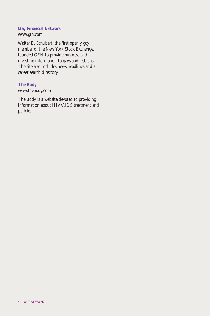# **Gay Financial Network**

www.gfn.com

Walter B. Schubert, the first openly gay member of the New York Stock Exchange, founded GFN to provide business and investing information to gays and lesbians. The site also includes news headlines and a career search directory.

# **The Body**

www.thebody.com

The Body is a website devoted to providing information about HIV/AIDS treatment and policies.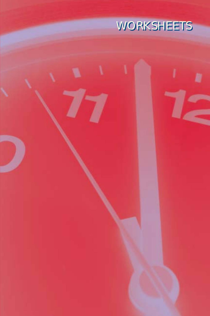

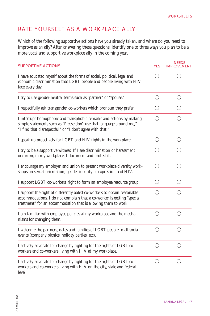# RATE YOURSELF AS A WORKPLACE ALLY

Which of the following supportive actions have you already taken, and where do you need to improve as an ally? After answering these questions, identify one to three ways you plan to be a more vocal and supportive workplace ally in the coming year.

| <b>SUPPORTIVE ACTIONS</b>                                                                                                                                                                                            | <b>YES</b>                                  | <b>NEEDS</b><br><b>IMPROVEMENT</b>          |
|----------------------------------------------------------------------------------------------------------------------------------------------------------------------------------------------------------------------|---------------------------------------------|---------------------------------------------|
| I have educated myself about the forms of social, political, legal and<br>economic discrimination that LGBT people and people living with HIV<br>face every day.                                                     |                                             |                                             |
| I try to use gender-neutral terms such as "partner" or "spouse."                                                                                                                                                     | O                                           | $\left(\begin{array}{c} \end{array}\right)$ |
| I respectfully ask transgender co-workers which pronoun they prefer.                                                                                                                                                 | ( )                                         | ( )                                         |
| I interrupt homophobic and transphobic remarks and actions by making<br>simple statements such as "Please don't use that language around me,"<br>"I find that disrespectful" or "I don't agree with that."           |                                             |                                             |
| I speak up proactively for LGBT and HIV rights in the workplace.                                                                                                                                                     | ∩                                           | $\left(\begin{array}{c} \end{array}\right)$ |
| I try to be a supportive witness. If I see discrimination or harassment<br>occurring in my workplace, I document and protest it.                                                                                     |                                             |                                             |
| I encourage my employer and union to present workplace diversity work-<br>shops on sexual orientation, gender identity or expression and HIV.                                                                        | ∩                                           | ( )                                         |
| I support LGBT co-workers' right to form an employee resource group.                                                                                                                                                 | $\left(\begin{array}{c} \end{array}\right)$ | $($ )                                       |
| I support the right of differently abled co-workers to obtain reasonable<br>accommodations. I do not complain that a co-worker is getting "special<br>treatment" for an accommodation that is allowing them to work. |                                             |                                             |
| I am familiar with employee policies at my workplace and the mecha-<br>nisms for changing them.                                                                                                                      | ( )                                         |                                             |
| I welcome the partners, dates and families of LGBT people to all social<br>events (company picnics, holiday parties, etc).                                                                                           | ( )                                         |                                             |
| I actively advocate for change by fighting for the rights of LGBT co-<br>workers and co-workers living with HIV at my workplace.                                                                                     |                                             |                                             |
| I actively advocate for change by fighting for the rights of LGBT co-<br>workers and co-workers living with HIV on the city, state and federal<br>level.                                                             | ( )                                         | ( )                                         |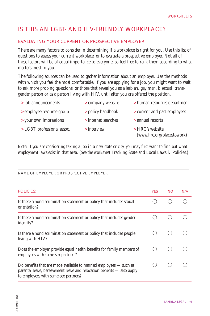# IS THIS AN LGBT- AND HIV-FRIENDLY WORKPLACE?

# EVALUATING YOUR CURRENT OR PROSPECTIVE EMPLOYER

There are many factors to consider in determining if a workplace is right for you. Use this list of questions to assess your current workplace, or to evaluate a prospective employer. Not all of these factors will be of equal importance to everyone, so feel free to rank them according to what matters most to you.

The following sources can be used to gather information about an employer. Use the methods with which you feel the most comfortable. If you are applying for a job, you might want to wait to ask more probing questions, or those that reveal you as a lesbian, gay man, bisexual, transgender person or as a person living with HIV, until after you are offered the position.

| > job announcements        | > company website   | > human resources department                    |
|----------------------------|---------------------|-------------------------------------------------|
| in employee resource group | > policy handbook   | > current and past employees                    |
| > your own impressions     | > internet searches | > annual reports                                |
| > LGBT professional assoc. | $>$ interview       | $>$ HRC's website<br>(www.hrc.org/placestowork) |

*Note: If you are considering taking a job in a new state or city, you may first want to find out what employment laws exist in that area. (See the worksheet* Tracking State and Local Laws & Policies*.)*

| NAME OF EMPLOYER OR PROSPECTIVE EMPLOYER                                                                                                                                                        |            |           |     |
|-------------------------------------------------------------------------------------------------------------------------------------------------------------------------------------------------|------------|-----------|-----|
| <b>POLICIES:</b>                                                                                                                                                                                | <b>YES</b> | <b>NO</b> | N/A |
| Is there a nondiscrimination statement or policy that includes sexual<br>orientation?                                                                                                           |            |           |     |
| Is there a nondiscrimination statement or policy that includes gender<br>identity?                                                                                                              |            |           |     |
| Is there a nondiscrimination statement or policy that includes people<br>living with HIV?                                                                                                       |            |           |     |
| Does the employer provide equal health benefits for family members of<br>employees with same-sex partners?                                                                                      |            |           |     |
| Do benefits that are made available to married employees $-$ such as<br>$\alpha$ parental leave, bereavement leave and relocation benefits — also apply<br>to employees with same-sex partners? |            |           |     |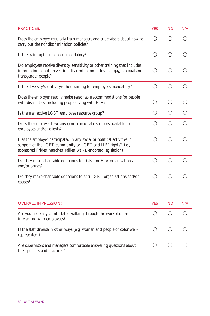| <b>PRACTICES:</b>                                                                                                                                                                                          | <b>YES</b>                                  | <b>NO</b>                                   | N/A |
|------------------------------------------------------------------------------------------------------------------------------------------------------------------------------------------------------------|---------------------------------------------|---------------------------------------------|-----|
| Does the employer regularly train managers and supervisors about how to<br>carry out the nondiscrimination policies?                                                                                       | ( )                                         |                                             |     |
| Is the training for managers mandatory?                                                                                                                                                                    | $\left(\right)$                             | $\left(\right)$                             | ()  |
| Do employees receive diversity, sensitivity or other training that includes<br>information about preventing discrimination of lesbian, gay, bisexual and<br>transgender people?                            | ()                                          |                                             |     |
| Is the diversity/sensitivity/other training for employees mandatory?                                                                                                                                       | $\left(\begin{array}{c} \end{array}\right)$ | ◯                                           | ◯   |
| Does the employer readily make reasonable accommodations for people<br>with disabilities, including people living with HIV?                                                                                | ()                                          | $\left(\begin{array}{c} \end{array}\right)$ | ()  |
| Is there an active LGBT employee resource group?                                                                                                                                                           | $\left(\begin{array}{c} \end{array}\right)$ | ◯                                           | ∩   |
| Does the employer have any gender-neutral restrooms available for<br>employees and/or clients?                                                                                                             | ( )                                         | ( )                                         | ∩   |
| Has the employer participated in any social or political activities in<br>support of the LGBT community or LGBT and HIV rights? (i.e.,<br>sponsored Prides, marches, rallies, walks, endorsed legislation) | ◯                                           | ( )                                         | ( ) |
| Do they make charitable donations to LGBT or HIV organizations<br>and/or causes?                                                                                                                           | $\left(\right)$                             | $\left(\begin{array}{c} \end{array}\right)$ | ( ) |
| Do they make charitable donations to anti-LGBT organizations and/or<br>causes?                                                                                                                             | ◯                                           | ∩                                           |     |
|                                                                                                                                                                                                            |                                             |                                             |     |
| <b>OVERALL IMPRESSION:</b>                                                                                                                                                                                 | <b>YES</b>                                  | <b>NO</b>                                   | N/A |
| Are you generally comfortable walking through the workplace and<br>interacting with employees?                                                                                                             | ()                                          | ()                                          | ( ) |
| Is the staff diverse in other ways (e.g. women and people of color well-<br>represented)?                                                                                                                  | ( )                                         | ∩                                           | ( ) |
| Are supervisors and managers comfortable answering questions about<br>their policies and practices?                                                                                                        | $(\ )$                                      | ( )                                         | ( ) |
|                                                                                                                                                                                                            |                                             |                                             |     |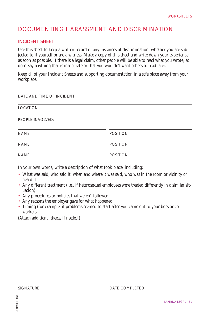# DOCUMENTING HARASSMENT AND DISCRIMINATION

# INCIDENT SHEET

Use this sheet to keep a written record of any instances of discrimination, whether you are subjected to it yourself or are a witness. Make a copy of this sheet and write down your experience as soon as possible. If there is a legal claim, other people will be able to read what you wrote, so don't say anything that is inaccurate or that you wouldn't want others to read later.

Keep all of your Incident Sheets and supporting documentation in a safe place away from your workplace.

| DATE AND TIME OF INCIDENT |                 |  |
|---------------------------|-----------------|--|
| <b>LOCATION</b>           |                 |  |
| PEOPLE INVOLVED:          |                 |  |
| <b>NAME</b>               | <b>POSITION</b> |  |
| <b>NAME</b>               | <b>POSITION</b> |  |
| <b>NAME</b>               | <b>POSITION</b> |  |

In your own words, write a description of what took place, including:

- What was said, who said it, when and where it was said, who was in the room or vicinity or heard it
- Any different treatment (i.e., if heterosexual employees were treated differently in a similar situation)
- Any procedures or policies that weren't followed
- Any reasons the employer gave for what happened
- Timing (for example, if problems seemed to start after you came out to your boss or coworkers)

*(Attach additional sheets, if needed.)*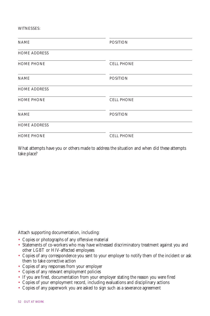WITNESSES:

| <b>NAME</b>         | <b>POSITION</b>   |  |
|---------------------|-------------------|--|
| <b>HOME ADDRESS</b> |                   |  |
| <b>HOME PHONE</b>   | <b>CELL PHONE</b> |  |
| <b>NAME</b>         | <b>POSITION</b>   |  |
| <b>HOME ADDRESS</b> |                   |  |
| <b>HOME PHONE</b>   | <b>CELL PHONE</b> |  |
| <b>NAME</b>         | <b>POSITION</b>   |  |
| <b>HOME ADDRESS</b> |                   |  |
| <b>HOME PHONE</b>   | <b>CELL PHONE</b> |  |

What attempts have you or others made to address the situation and when did these attempts take place?

Attach supporting documentation, including:

- Copies or photographs of any offensive material
- Statements of co-workers who may have witnessed discriminatory treatment against you and other LGBT or HIV-affected employees
- Copies of any correspondence you sent to your employer to notify them of the incident or ask them to take corrective action
- Copies of any responses from your employer
- Copies of any relevant employment policies
- If you are fired, documentation from your employer stating the reason you were fired
- Copies of your employment record, including evaluations and disciplinary actions
- Copies of any paperwork you are asked to sign such as a severance agreement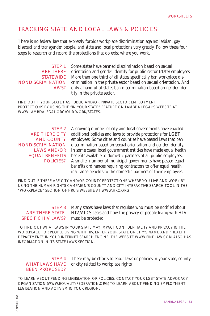# TRACKING STATE AND LOCAL LAWS & POLICIES

There is no federal law that expressly forbids workplace discrimination against lesbian, gay, bisexual and transgender people, and state and local protections vary greatly. Follow these four steps to research and record the protections that do exist where you work.

STEP 1 ARE THERE STATEWIDE NONDISCRIMINATION **LAWS?** 

Some states have banned discrimination based on sexual orientation and gender identify for public sector (state) employees. More than one third of all states specifically ban workplace discrimination in the private sector based on sexual orientation. And only a handful of states ban discrimination based on gender identity in the private sector.

FIND OUT IF YOUR STATE HAS PUBLIC AND/OR PRIVATE SECTOR EMPLOYMENT PROTECTIONS BY USING THE "IN YOUR STATE" FEATURE ON LAMBDA LEGAL'S WEBSITE AT WWW.LAMBDALEGAL.ORG/OUR-WORK/STATES.

STEP<sub>2</sub> ARE THERE CITY AND COUNTY NONDISCRIMINATION LAWS AND/OR EQUAL BENEFITS POLICIES?

A growing number of city and local governments have enacted additional policies and laws to provide protections for LGBT employees. Some cities and counties have passed laws that ban discrimination based on sexual orientation and gender identity. In some cases, local government entities have made equal health benefits available to domestic partners of all public employees. A smaller number of municipal governments have passed equal benefits ordinances requiring contractors to offer equal health insurance benefits to the domestic partners of their employees.

FIND OUT IF THERE ARE CITY AND/OR COUNTY PROTECTIONS WHERE YOU LIVE AND WORK BY USING THE HUMAN RIGHTS CAMPAIGN'S COUNTY AND CITY INTERACTIVE SEARCH TOOL IN THE "WORKPLACE" SECTION OF HRC'S WEBSITE AT WWW.HRC.ORG

# SPECIFIC HIV LAWS?

STEP 3 Many states have laws that regulate who must be notified about **ARE THERE STATE-** HIV/AIDS cases and how the privacy of people living with HIV must be protected.

TO FIND OUT WHAT LAWS IN YOUR STATE MAY IMPACT CONFIDENTIALITY AND PRIVACY IN THE WORKPLACE FOR PEOPLE LIVING WITH HIV, ENTER YOUR STATE OR CITY'S NAME AND "HEALTH DEPARTMENT" IN YOUR INTERNET SEARCH ENGINE. THE WEBSITE WWW.FINDLAW.COM ALSO HAS INFORMATION IN ITS STATE LAWS SECTION.

### STEP 4 WHAT LAWS HAVE BEEN PROPOSED?

There may be efforts to enact laws or policies in your state, county or city related to workplace rights.

TO LEARN ABOUT PENDING LEGISLATION OR POLICIES, CONTACT YOUR LGBT STATE ADVOCACY ORGANIZATION (WWW.EQUALITYFEDERATION.ORG) TO LEARN ABOUT PENDING EMPLOYMENT LEGISLATION AND ACTIVISM IN YOUR REGION.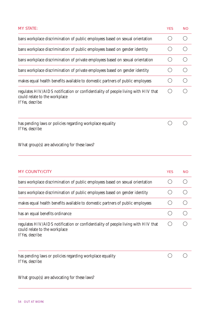| <b>MY STATE:</b>                                                                                                                        | <b>YES</b> | <b>NO</b> |
|-----------------------------------------------------------------------------------------------------------------------------------------|------------|-----------|
| bans workplace discrimination of public employees based on sexual orientation                                                           |            |           |
| bans workplace discrimination of public employees based on gender identity                                                              |            |           |
| bans workplace discrimination of private employees based on sexual orientation                                                          |            |           |
| bans workplace discrimination of private employees based on gender identity                                                             |            |           |
| makes equal health benefits available to domestic partners of public employees                                                          |            |           |
| regulates HIV/AIDS notification or confidentiality of people living with HIV that<br>could relate to the workplace<br>If Yes, describe: |            |           |
| has pending laws or policies regarding workplace equality<br>If Yes, describe:                                                          |            |           |

What group(s) are advocating for these laws?

| <b>MY COUNTY/CITY</b>                                                                                                                   | <b>YES</b> | <b>NO</b> |
|-----------------------------------------------------------------------------------------------------------------------------------------|------------|-----------|
| bans workplace discrimination of public employees based on sexual orientation                                                           |            |           |
| bans workplace discrimination of public employees based on gender identity                                                              |            |           |
| makes equal health benefits available to domestic partners of public employees                                                          |            |           |
| has an equal benefits ordinance                                                                                                         |            |           |
| regulates HIV/AIDS notification or confidentiality of people living with HIV that<br>could relate to the workplace<br>If Yes, describe: |            |           |
| has pending laws or policies regarding workplace equality<br>If Yes. describe:                                                          |            |           |
| What group(s) are advocating for these laws?                                                                                            |            |           |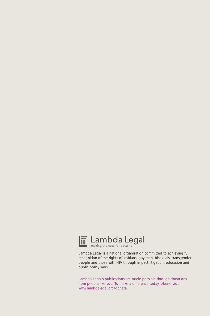

Lambda Legal is a national organization committed to achieving full recognition of the rights of lesbians, gay men, bisexuals, transgender people and those with HIV through impact litigation, education and public policy work.

Lambda Legal's publications are made possible through donations from people like you. To make a difference today, please visit www.lambdalegal.org/donate.